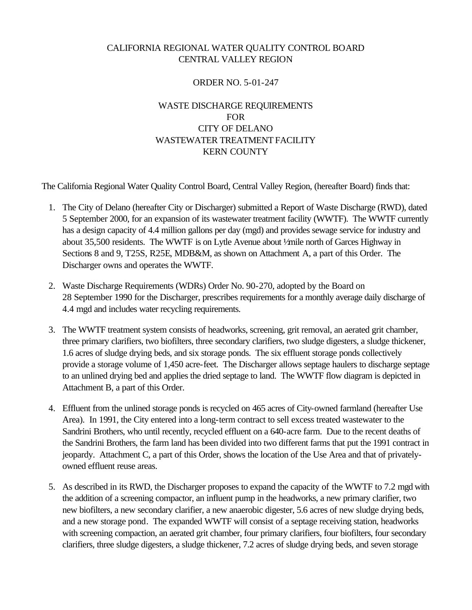# CALIFORNIA REGIONAL WATER QUALITY CONTROL BOARD CENTRAL VALLEY REGION

## ORDER NO. 5-01-247

# WASTE DISCHARGE REQUIREMENTS FOR CITY OF DELANO WASTEWATER TREATMENT FACILITY KERN COUNTY

The California Regional Water Quality Control Board, Central Valley Region, (hereafter Board) finds that:

- 1. The City of Delano (hereafter City or Discharger) submitted a Report of Waste Discharge (RWD), dated 5 September 2000, for an expansion of its wastewater treatment facility (WWTF). The WWTF currently has a design capacity of 4.4 million gallons per day (mgd) and provides sewage service for industry and about 35,500 residents. The WWTF is on Lytle Avenue about ½ mile north of Garces Highway in Sections 8 and 9, T25S, R25E, MDB&M, as shown on Attachment A, a part of this Order. The Discharger owns and operates the WWTF.
- 2. Waste Discharge Requirements (WDRs) Order No. 90-270, adopted by the Board on 28 September 1990 for the Discharger, prescribes requirements for a monthly average daily discharge of 4.4 mgd and includes water recycling requirements.
- 3. The WWTF treatment system consists of headworks, screening, grit removal, an aerated grit chamber, three primary clarifiers, two biofilters, three secondary clarifiers, two sludge digesters, a sludge thickener, 1.6 acres of sludge drying beds, and six storage ponds. The six effluent storage ponds collectively provide a storage volume of 1,450 acre-feet. The Discharger allows septage haulers to discharge septage to an unlined drying bed and applies the dried septage to land. The WWTF flow diagram is depicted in Attachment B, a part of this Order.
- 4. Effluent from the unlined storage ponds is recycled on 465 acres of City-owned farmland (hereafter Use Area). In 1991, the City entered into a long-term contract to sell excess treated wastewater to the Sandrini Brothers, who until recently, recycled effluent on a 640-acre farm. Due to the recent deaths of the Sandrini Brothers, the farm land has been divided into two different farms that put the 1991 contract in jeopardy. Attachment C, a part of this Order, shows the location of the Use Area and that of privatelyowned effluent reuse areas.
- 5. As described in its RWD, the Discharger proposes to expand the capacity of the WWTF to 7.2 mgd with the addition of a screening compactor, an influent pump in the headworks, a new primary clarifier, two new biofilters, a new secondary clarifier, a new anaerobic digester, 5.6 acres of new sludge drying beds, and a new storage pond. The expanded WWTF will consist of a septage receiving station, headworks with screening compaction, an aerated grit chamber, four primary clarifiers, four biofilters, four secondary clarifiers, three sludge digesters, a sludge thickener, 7.2 acres of sludge drying beds, and seven storage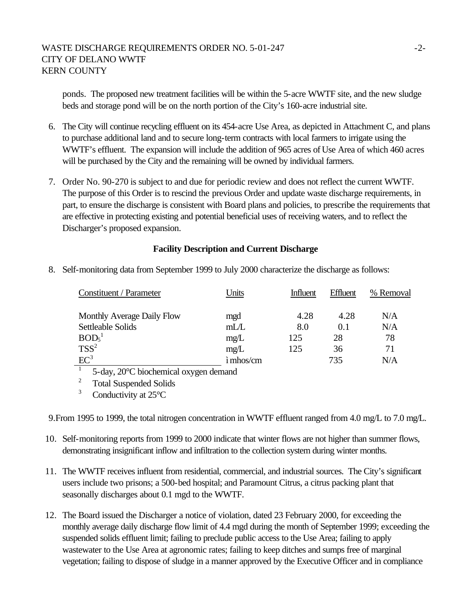# WASTE DISCHARGE REQUIREMENTS ORDER NO. 5-01-247  $-2$ -2-CITY OF DELANO WWTF KERN COUNTY

ponds. The proposed new treatment facilities will be within the 5-acre WWTF site, and the new sludge beds and storage pond will be on the north portion of the City's 160-acre industrial site.

- 6. The City will continue recycling effluent on its 454-acre Use Area, as depicted in Attachment C, and plans to purchase additional land and to secure long-term contracts with local farmers to irrigate using the WWTF's effluent. The expansion will include the addition of 965 acres of Use Area of which 460 acres will be purchased by the City and the remaining will be owned by individual farmers.
- 7. Order No. 90-270 is subject to and due for periodic review and does not reflect the current WWTF. The purpose of this Order is to rescind the previous Order and update waste discharge requirements, in part, to ensure the discharge is consistent with Board plans and policies, to prescribe the requirements that are effective in protecting existing and potential beneficial uses of receiving waters, and to reflect the Discharger's proposed expansion.

### **Facility Description and Current Discharge**

8. Self-monitoring data from September 1999 to July 2000 characterize the discharge as follows:

| Constituent / Parameter       | Units     | Influent | Effluent | % Removal |
|-------------------------------|-----------|----------|----------|-----------|
| Monthly Average Daily Flow    | mgd       | 4.28     | 4.28     | N/A       |
| Settleable Solids             | mL/L      | 8.0      | 0.1      | N/A       |
| BOD <sub>5</sub> <sup>1</sup> | mg/L      | 125      | 28       | 78        |
| $TSS^2$                       | mg/L      | 125      | 36       | 71        |
| $EC^3$                        | i mhos/cm |          | 735      | N/A       |
|                               |           |          |          |           |

 $1 - 5$ -day, 20 $\degree$ C biochemical oxygen demand

 $\frac{2}{3}$  Total Suspended Solids

Conductivity at 25°C

9.From 1995 to 1999, the total nitrogen concentration in WWTF effluent ranged from 4.0 mg/L to 7.0 mg/L.

- 10. Self-monitoring reports from 1999 to 2000 indicate that winter flows are not higher than summer flows, demonstrating insignificant inflow and infiltration to the collection system during winter months.
- 11. The WWTF receives influent from residential, commercial, and industrial sources. The City's significant users include two prisons; a 500-bed hospital; and Paramount Citrus, a citrus packing plant that seasonally discharges about 0.1 mgd to the WWTF.
- 12. The Board issued the Discharger a notice of violation, dated 23 February 2000, for exceeding the monthly average daily discharge flow limit of 4.4 mgd during the month of September 1999; exceeding the suspended solids effluent limit; failing to preclude public access to the Use Area; failing to apply wastewater to the Use Area at agronomic rates; failing to keep ditches and sumps free of marginal vegetation; failing to dispose of sludge in a manner approved by the Executive Officer and in compliance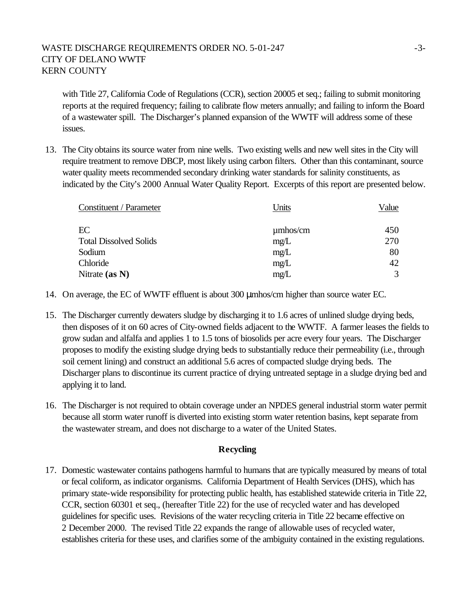# WASTE DISCHARGE REQUIREMENTS ORDER NO. 5-01-247 -3-CITY OF DELANO WWTF KERN COUNTY

with Title 27, California Code of Regulations (CCR), section 20005 et seq.; failing to submit monitoring reports at the required frequency; failing to calibrate flow meters annually; and failing to inform the Board of a wastewater spill. The Discharger's planned expansion of the WWTF will address some of these issues.

13. The City obtains its source water from nine wells. Two existing wells and new well sites in the City will require treatment to remove DBCP, most likely using carbon filters. Other than this contaminant, source water quality meets recommended secondary drinking water standards for salinity constituents, as indicated by the City's 2000 Annual Water Quality Report. Excerpts of this report are presented below.

| Units         | Value |
|---------------|-------|
| $\mu$ mhos/cm | 450   |
| mg/L          | 270   |
| mg/L          | 80    |
| mg/L          | 42    |
| mg/L          |       |
|               |       |

- 14. On average, the EC of WWTF effluent is about 300 μmhos/cm higher than source water EC.
- 15. The Discharger currently dewaters sludge by discharging it to 1.6 acres of unlined sludge drying beds, then disposes of it on 60 acres of City-owned fields adjacent to the WWTF. A farmer leases the fields to grow sudan and alfalfa and applies 1 to 1.5 tons of biosolids per acre every four years. The Discharger proposes to modify the existing sludge drying beds to substantially reduce their permeability (i.e., through soil cement lining) and construct an additional 5.6 acres of compacted sludge drying beds. The Discharger plans to discontinue its current practice of drying untreated septage in a sludge drying bed and applying it to land.
- 16. The Discharger is not required to obtain coverage under an NPDES general industrial storm water permit because all storm water runoff is diverted into existing storm water retention basins, kept separate from the wastewater stream, and does not discharge to a water of the United States.

### **Recycling**

17. Domestic wastewater contains pathogens harmful to humans that are typically measured by means of total or fecal coliform, as indicator organisms. California Department of Health Services (DHS), which has primary state-wide responsibility for protecting public health, has established statewide criteria in Title 22, CCR, section 60301 et seq., (hereafter Title 22) for the use of recycled water and has developed guidelines for specific uses. Revisions of the water recycling criteria in Title 22 became effective on 2 December 2000. The revised Title 22 expands the range of allowable uses of recycled water, establishes criteria for these uses, and clarifies some of the ambiguity contained in the existing regulations.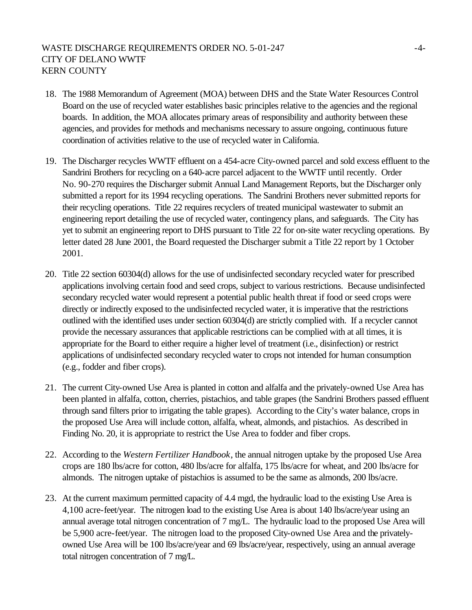# WASTE DISCHARGE REQUIREMENTS ORDER NO. 5-01-247  $-4$ -CITY OF DELANO WWTF KERN COUNTY

- 18. The 1988 Memorandum of Agreement (MOA) between DHS and the State Water Resources Control Board on the use of recycled water establishes basic principles relative to the agencies and the regional boards. In addition, the MOA allocates primary areas of responsibility and authority between these agencies, and provides for methods and mechanisms necessary to assure ongoing, continuous future coordination of activities relative to the use of recycled water in California.
- 19. The Discharger recycles WWTF effluent on a 454-acre City-owned parcel and sold excess effluent to the Sandrini Brothers for recycling on a 640-acre parcel adjacent to the WWTF until recently. Order No. 90-270 requires the Discharger submit Annual Land Management Reports, but the Discharger only submitted a report for its 1994 recycling operations. The Sandrini Brothers never submitted reports for their recycling operations. Title 22 requires recyclers of treated municipal wastewater to submit an engineering report detailing the use of recycled water, contingency plans, and safeguards. The City has yet to submit an engineering report to DHS pursuant to Title 22 for on-site water recycling operations. By letter dated 28 June 2001, the Board requested the Discharger submit a Title 22 report by 1 October 2001.
- 20. Title 22 section 60304(d) allows for the use of undisinfected secondary recycled water for prescribed applications involving certain food and seed crops, subject to various restrictions. Because undisinfected secondary recycled water would represent a potential public health threat if food or seed crops were directly or indirectly exposed to the undisinfected recycled water, it is imperative that the restrictions outlined with the identified uses under section 60304(d) are strictly complied with. If a recycler cannot provide the necessary assurances that applicable restrictions can be complied with at all times, it is appropriate for the Board to either require a higher level of treatment (i.e., disinfection) or restrict applications of undisinfected secondary recycled water to crops not intended for human consumption (e.g., fodder and fiber crops).
- 21. The current City-owned Use Area is planted in cotton and alfalfa and the privately-owned Use Area has been planted in alfalfa, cotton, cherries, pistachios, and table grapes (the Sandrini Brothers passed effluent through sand filters prior to irrigating the table grapes). According to the City's water balance, crops in the proposed Use Area will include cotton, alfalfa, wheat, almonds, and pistachios. As described in Finding No. 20, it is appropriate to restrict the Use Area to fodder and fiber crops.
- 22. According to the *Western Fertilizer Handbook*, the annual nitrogen uptake by the proposed Use Area crops are 180 lbs/acre for cotton, 480 lbs/acre for alfalfa, 175 lbs/acre for wheat, and 200 lbs/acre for almonds. The nitrogen uptake of pistachios is assumed to be the same as almonds, 200 lbs/acre.
- 23. At the current maximum permitted capacity of 4.4 mgd, the hydraulic load to the existing Use Area is 4,100 acre-feet/year. The nitrogen load to the existing Use Area is about 140 lbs/acre/year using an annual average total nitrogen concentration of 7 mg/L. The hydraulic load to the proposed Use Area will be 5,900 acre-feet/year. The nitrogen load to the proposed City-owned Use Area and the privatelyowned Use Area will be 100 lbs/acre/year and 69 lbs/acre/year, respectively, using an annual average total nitrogen concentration of 7 mg/L.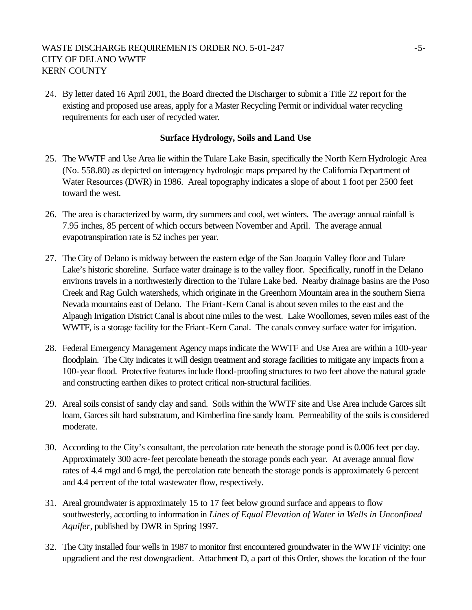# WASTE DISCHARGE REQUIREMENTS ORDER NO. 5-01-247 -5-CITY OF DELANO WWTF KERN COUNTY

24. By letter dated 16 April 2001, the Board directed the Discharger to submit a Title 22 report for the existing and proposed use areas, apply for a Master Recycling Permit or individual water recycling requirements for each user of recycled water.

### **Surface Hydrology, Soils and Land Use**

- 25. The WWTF and Use Area lie within the Tulare Lake Basin, specifically the North Kern Hydrologic Area (No. 558.80) as depicted on interagency hydrologic maps prepared by the California Department of Water Resources (DWR) in 1986. Areal topography indicates a slope of about 1 foot per 2500 feet toward the west.
- 26. The area is characterized by warm, dry summers and cool, wet winters. The average annual rainfall is 7.95 inches, 85 percent of which occurs between November and April. The average annual evapotranspiration rate is 52 inches per year.
- 27. The City of Delano is midway between the eastern edge of the San Joaquin Valley floor and Tulare Lake's historic shoreline. Surface water drainage is to the valley floor. Specifically, runoff in the Delano environs travels in a northwesterly direction to the Tulare Lake bed. Nearby drainage basins are the Poso Creek and Rag Gulch watersheds, which originate in the Greenhorn Mountain area in the southern Sierra Nevada mountains east of Delano. The Friant-Kern Canal is about seven miles to the east and the Alpaugh Irrigation District Canal is about nine miles to the west. Lake Woollomes, seven miles east of the WWTF, is a storage facility for the Friant-Kern Canal. The canals convey surface water for irrigation.
- 28. Federal Emergency Management Agency maps indicate the WWTF and Use Area are within a 100-year floodplain. The City indicates it will design treatment and storage facilities to mitigate any impacts from a 100-year flood. Protective features include flood-proofing structures to two feet above the natural grade and constructing earthen dikes to protect critical non-structural facilities.
- 29. Areal soils consist of sandy clay and sand. Soils within the WWTF site and Use Area include Garces silt loam, Garces silt hard substratum, and Kimberlina fine sandy loam. Permeability of the soils is considered moderate.
- 30. According to the City's consultant, the percolation rate beneath the storage pond is 0.006 feet per day. Approximately 300 acre-feet percolate beneath the storage ponds each year. At average annual flow rates of 4.4 mgd and 6 mgd, the percolation rate beneath the storage ponds is approximately 6 percent and 4.4 percent of the total wastewater flow, respectively.
- 31. Areal groundwater is approximately 15 to 17 feet below ground surface and appears to flow southwesterly, according to information in *Lines of Equal Elevation of Water in Wells in Unconfined Aquifer*, published by DWR in Spring 1997.
- 32. The City installed four wells in 1987 to monitor first encountered groundwater in the WWTF vicinity: one upgradient and the rest downgradient. Attachment D, a part of this Order, shows the location of the four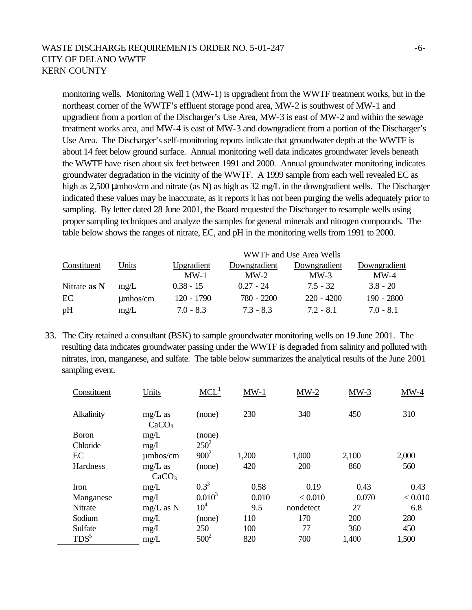### WASTE DISCHARGE REQUIREMENTS ORDER NO. 5-01-247  $-6$ -CITY OF DELANO WWTF KERN COUNTY

monitoring wells. Monitoring Well 1 (MW-1) is upgradient from the WWTF treatment works, but in the northeast corner of the WWTF's effluent storage pond area, MW-2 is southwest of MW-1 and upgradient from a portion of the Discharger's Use Area, MW-3 is east of MW-2 and within the sewage treatment works area, and MW-4 is east of MW-3 and downgradient from a portion of the Discharger's Use Area. The Discharger's self-monitoring reports indicate that groundwater depth at the WWTF is about 14 feet below ground surface. Annual monitoring well data indicates groundwater levels beneath the WWTF have risen about six feet between 1991 and 2000. Annual groundwater monitoring indicates groundwater degradation in the vicinity of the WWTF. A 1999 sample from each well revealed EC as high as 2,500 μmhos/cm and nitrate (as N) as high as 32 mg/L in the downgradient wells. The Discharger indicated these values may be inaccurate, as it reports it has not been purging the wells adequately prior to sampling. By letter dated 28 June 2001, the Board requested the Discharger to resample wells using proper sampling techniques and analyze the samples for general minerals and nitrogen compounds. The table below shows the ranges of nitrate, EC, and pH in the monitoring wells from 1991 to 2000.

|              |               |              | WWTF and Use Area Wells |              |              |
|--------------|---------------|--------------|-------------------------|--------------|--------------|
| Constituent  | Units         | Upgradient   | Downgradient            | Downgradient | Downgradient |
|              |               | $MW-1$       | $MW-2$                  | $MW-3$       | $MW-4$       |
| Nitrate as N | mg/L          | $0.38 - 15$  | $0.27 - 24$             | $7.5 - 32$   | $3.8 - 20$   |
| EC           | $\mu$ mhos/cm | $120 - 1790$ | 780 - 2200              | $220 - 4200$ | $190 - 2800$ |
| pH           | mg/L          | $7.0 - 8.3$  | $7.3 - 8.3$             | $7.2 - 8.1$  | $7.0 - 8.1$  |

33. The City retained a consultant (BSK) to sample groundwater monitoring wells on 19 June 2001. The resulting data indicates groundwater passing under the WWTF is degraded from salinity and polluted with nitrates, iron, manganese, and sulfate. The table below summarizes the analytical results of the June 2001 sampling event.

| Constituent      | Units                          | MCL <sup>1</sup> | $MW-1$ | $MW-2$    | $MW-3$ | $MW-4$  |
|------------------|--------------------------------|------------------|--------|-----------|--------|---------|
| Alkalinity       | $mg/L$ as<br>CaCO <sub>3</sub> | (none)           | 230    | 340       | 450    | 310     |
| <b>Boron</b>     | mg/L                           | (none)           |        |           |        |         |
| Chloride         | mg/L                           | $250^2$          |        |           |        |         |
| EC               | $\mu$ mhos/cm                  | $900^2$          | 1,200  | 1,000     | 2,100  | 2,000   |
| Hardness         | $mg/L$ as                      | (none)           | 420    | 200       | 860    | 560     |
|                  | CaCO <sub>3</sub>              |                  |        |           |        |         |
| Iron             | mg/L                           | $0.3^3$          | 0.58   | 0.19      | 0.43   | 0.43    |
| Manganese        | mg/L                           | $0.010^{3}$      | 0.010  | < 0.010   | 0.070  | < 0.010 |
| Nitrate          | $mg/L$ as N                    | 10 <sup>4</sup>  | 9.5    | nondetect | 27     | 6.8     |
| Sodium           | mg/L                           | (none)           | 110    | 170       | 200    | 280     |
| Sulfate          | mg/L                           | 250              | 100    | 77        | 360    | 450     |
| TDS <sup>5</sup> | mg/L                           | $500^2$          | 820    | 700       | 1,400  | 1,500   |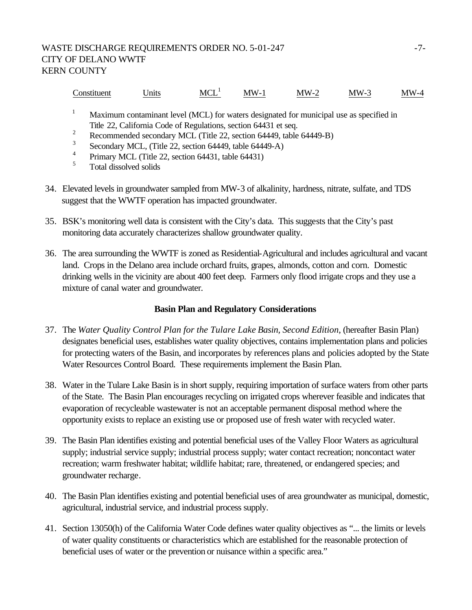| WASTE DISCHARGE REQUIREMENTS ORDER NO. 5-01-247 | $-7-$ |
|-------------------------------------------------|-------|
| CITY OF DELANO WWTF                             |       |
| KERN COUNTY                                     |       |
|                                                 |       |

| `∩n⊆<br>uem |  | M. | W | A.<br>v |  |  |
|-------------|--|----|---|---------|--|--|
|-------------|--|----|---|---------|--|--|

- <sup>1</sup> Maximum contaminant level (MCL) for waters designated for municipal use as specified in Title 22, California Code of Regulations, section 64431 et seq.
- <sup>2</sup> Recommended secondary MCL (Title 22, section 64449, table 64449-B)
- 3 Secondary MCL, (Title 22, section 64449, table 64449-A)
- 4 Primary MCL (Title 22, section 64431, table 64431)
- 5 Total dissolved solids
- 34. Elevated levels in groundwater sampled from MW-3 of alkalinity, hardness, nitrate, sulfate, and TDS suggest that the WWTF operation has impacted groundwater.
- 35. BSK's monitoring well data is consistent with the City's data. This suggests that the City's past monitoring data accurately characterizes shallow groundwater quality.
- 36. The area surrounding the WWTF is zoned as Residential-Agricultural and includes agricultural and vacant land. Crops in the Delano area include orchard fruits, grapes, almonds, cotton and corn. Domestic drinking wells in the vicinity are about 400 feet deep. Farmers only flood irrigate crops and they use a mixture of canal water and groundwater.

# **Basin Plan and Regulatory Considerations**

- 37. The *Water Quality Control Plan for the Tulare Lake Basin, Second Edition*, (hereafter Basin Plan) designates beneficial uses, establishes water quality objectives, contains implementation plans and policies for protecting waters of the Basin, and incorporates by references plans and policies adopted by the State Water Resources Control Board. These requirements implement the Basin Plan.
- 38. Water in the Tulare Lake Basin is in short supply, requiring importation of surface waters from other parts of the State. The Basin Plan encourages recycling on irrigated crops wherever feasible and indicates that evaporation of recycleable wastewater is not an acceptable permanent disposal method where the opportunity exists to replace an existing use or proposed use of fresh water with recycled water.
- 39. The Basin Plan identifies existing and potential beneficial uses of the Valley Floor Waters as agricultural supply; industrial service supply; industrial process supply; water contact recreation; noncontact water recreation; warm freshwater habitat; wildlife habitat; rare, threatened, or endangered species; and groundwater recharge.
- 40. The Basin Plan identifies existing and potential beneficial uses of area groundwater as municipal, domestic, agricultural, industrial service, and industrial process supply.
- 41. Section 13050(h) of the California Water Code defines water quality objectives as "... the limits or levels of water quality constituents or characteristics which are established for the reasonable protection of beneficial uses of water or the prevention or nuisance within a specific area."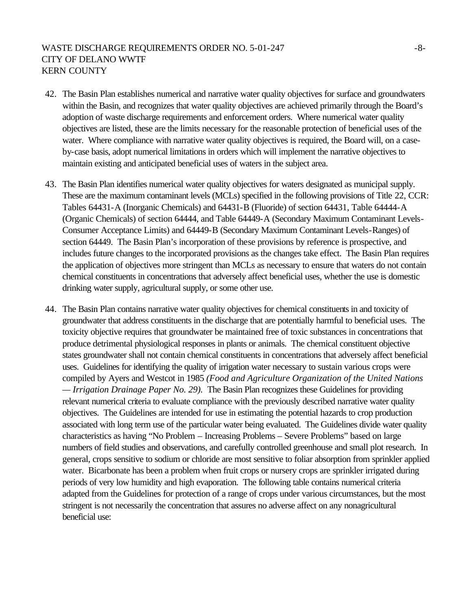# WASTE DISCHARGE REQUIREMENTS ORDER NO. 5-01-247 -8-CITY OF DELANO WWTF KERN COUNTY

- 42. The Basin Plan establishes numerical and narrative water quality objectives for surface and groundwaters within the Basin, and recognizes that water quality objectives are achieved primarily through the Board's adoption of waste discharge requirements and enforcement orders. Where numerical water quality objectives are listed, these are the limits necessary for the reasonable protection of beneficial uses of the water. Where compliance with narrative water quality objectives is required, the Board will, on a caseby-case basis, adopt numerical limitations in orders which will implement the narrative objectives to maintain existing and anticipated beneficial uses of waters in the subject area.
- 43. The Basin Plan identifies numerical water quality objectives for waters designated as municipal supply. These are the maximum contaminant levels (MCLs) specified in the following provisions of Title 22, CCR: Tables 64431-A (Inorganic Chemicals) and 64431-B (Fluoride) of section 64431, Table 64444-A (Organic Chemicals) of section 64444, and Table 64449-A (Secondary Maximum Contaminant Levels-Consumer Acceptance Limits) and 64449-B (Secondary Maximum Contaminant Levels-Ranges) of section 64449. The Basin Plan's incorporation of these provisions by reference is prospective, and includes future changes to the incorporated provisions as the changes take effect. The Basin Plan requires the application of objectives more stringent than MCLs as necessary to ensure that waters do not contain chemical constituents in concentrations that adversely affect beneficial uses, whether the use is domestic drinking water supply, agricultural supply, or some other use.
- 44. The Basin Plan contains narrative water quality objectives for chemical constituents in and toxicity of groundwater that address constituents in the discharge that are potentially harmful to beneficial uses. The toxicity objective requires that groundwater be maintained free of toxic substances in concentrations that produce detrimental physiological responses in plants or animals. The chemical constituent objective states groundwater shall not contain chemical constituents in concentrations that adversely affect beneficial uses. Guidelines for identifying the quality of irrigation water necessary to sustain various crops were compiled by Ayers and Westcot in 1985 *(Food and Agriculture Organization of the United Nations — Irrigation Drainage Paper No. 29).* The Basin Plan recognizes these Guidelines for providing relevant numerical criteria to evaluate compliance with the previously described narrative water quality objectives. The Guidelines are intended for use in estimating the potential hazards to crop production associated with long term use of the particular water being evaluated. The Guidelines divide water quality characteristics as having "No Problem – Increasing Problems – Severe Problems" based on large numbers of field studies and observations, and carefully controlled greenhouse and small plot research. In general, crops sensitive to sodium or chloride are most sensitive to foliar absorption from sprinkler applied water. Bicarbonate has been a problem when fruit crops or nursery crops are sprinkler irrigated during periods of very low humidity and high evaporation. The following table contains numerical criteria adapted from the Guidelines for protection of a range of crops under various circumstances, but the most stringent is not necessarily the concentration that assures no adverse affect on any nonagricultural beneficial use: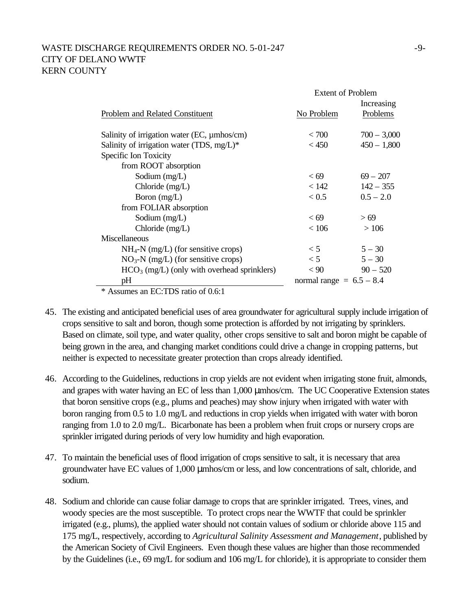|                                                                                   | <b>Extent of Problem</b>   |               |
|-----------------------------------------------------------------------------------|----------------------------|---------------|
|                                                                                   |                            | Increasing    |
| Problem and Related Constituent                                                   | No Problem                 | Problems      |
|                                                                                   |                            |               |
| Salinity of irrigation water (EC, µmhos/cm)                                       | < 700                      | $700 - 3,000$ |
| Salinity of irrigation water (TDS, $mg/L$ )*                                      | < 450                      | $450 - 1,800$ |
| Specific Ion Toxicity                                                             |                            |               |
| from ROOT absorption                                                              |                            |               |
| Sodium $(mg/L)$                                                                   | < 69                       | $69 - 207$    |
| Chloride $(mg/L)$                                                                 | < 142                      | $142 - 355$   |
| Boron $(mg/L)$                                                                    | < 0.5                      | $0.5 - 2.0$   |
| from FOLIAR absorption                                                            |                            |               |
| Sodium $(mg/L)$                                                                   | < 69                       | > 69          |
| Chloride $(mg/L)$                                                                 | < 106                      | >106          |
| Miscellaneous                                                                     |                            |               |
| $NH_4-N$ (mg/L) (for sensitive crops)                                             | < 5                        | $5 - 30$      |
| $NO3-N$ (mg/L) (for sensitive crops)                                              | < 5                        | $5 - 30$      |
| $HCO3$ (mg/L) (only with overhead sprinklers)                                     | < 90                       | $90 - 520$    |
| pH                                                                                | normal range = $6.5 - 8.4$ |               |
| $\Gamma$ $\cap$ $\Gamma$ $\cap$ $\Gamma$ $\cap$ $\Gamma$ $\cap$ $\Gamma$ $\Gamma$ |                            |               |

\* Assumes an EC:TDS ratio of 0.6:1

- 45. The existing and anticipated beneficial uses of area groundwater for agricultural supply include irrigation of crops sensitive to salt and boron, though some protection is afforded by not irrigating by sprinklers. Based on climate, soil type, and water quality, other crops sensitive to salt and boron might be capable of being grown in the area, and changing market conditions could drive a change in cropping patterns, but neither is expected to necessitate greater protection than crops already identified.
- 46. According to the Guidelines, reductions in crop yields are not evident when irrigating stone fruit, almonds, and grapes with water having an EC of less than 1,000 μmhos/cm. The UC Cooperative Extension states that boron sensitive crops (e.g., plums and peaches) may show injury when irrigated with water with boron ranging from 0.5 to 1.0 mg/L and reductions in crop yields when irrigated with water with boron ranging from 1.0 to 2.0 mg/L. Bicarbonate has been a problem when fruit crops or nursery crops are sprinkler irrigated during periods of very low humidity and high evaporation.
- 47. To maintain the beneficial uses of flood irrigation of crops sensitive to salt, it is necessary that area groundwater have EC values of 1,000 μmhos/cm or less, and low concentrations of salt, chloride, and sodium.
- 48. Sodium and chloride can cause foliar damage to crops that are sprinkler irrigated. Trees, vines, and woody species are the most susceptible. To protect crops near the WWTF that could be sprinkler irrigated (e.g., plums), the applied water should not contain values of sodium or chloride above 115 and 175 mg/L, respectively, according to *Agricultural Salinity Assessment and Management*, published by the American Society of Civil Engineers. Even though these values are higher than those recommended by the Guidelines (i.e., 69 mg/L for sodium and 106 mg/L for chloride), it is appropriate to consider them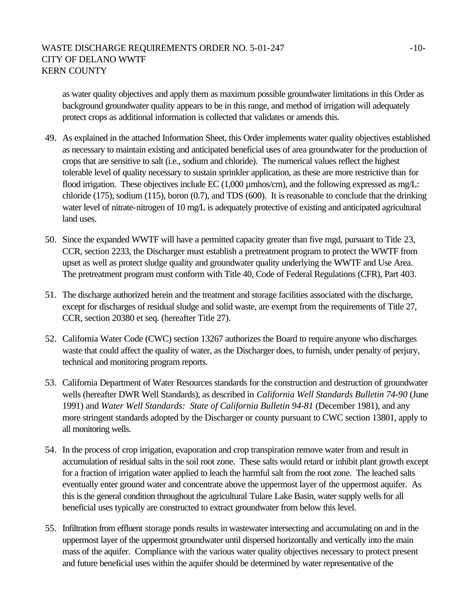# WASTE DISCHARGE REQUIREMENTS ORDER NO. 5-01-247  $-10$ -CITY OF DELANO WWTF KERN COUNTY

as water quality objectives and apply them as maximum possible groundwater limitations in this Order as background groundwater quality appears to be in this range, and method of irrigation will adequately protect crops as additional information is collected that validates or amends this.

- 49. As explained in the attached Information Sheet, this Order implements water quality objectives established as necessary to maintain existing and anticipated beneficial uses of area groundwater for the production of crops that are sensitive to salt (i.e., sodium and chloride). The numerical values reflect the highest tolerable level of quality necessary to sustain sprinkler application, as these are more restrictive than for flood irrigation. These objectives include EC  $(1,000 \mu m$ hos/cm), and the following expressed as mg/L: chloride (175), sodium (115), boron (0.7), and TDS (600). It is reasonable to conclude that the drinking water level of nitrate-nitrogen of 10 mg/L is adequately protective of existing and anticipated agricultural land uses.
- 50. Since the expanded WWTF will have a permitted capacity greater than five mgd, pursuant to Title 23, CCR, section 2233, the Discharger must establish a pretreatment program to protect the WWTF from upset as well as protect sludge quality and groundwater quality underlying the WWTF and Use Area. The pretreatment program must conform with Title 40, Code of Federal Regulations (CFR), Part 403.
- 51. The discharge authorized herein and the treatment and storage facilities associated with the discharge, except for discharges of residual sludge and solid waste, are exempt from the requirements of Title 27, CCR, section 20380 et seq. (hereafter Title 27).
- 52. California Water Code (CWC) section 13267 authorizes the Board to require anyone who discharges waste that could affect the quality of water, as the Discharger does, to furnish, under penalty of perjury, technical and monitoring program reports.
- 53. California Department of Water Resources standards for the construction and destruction of groundwater wells (hereafter DWR Well Standards), as described in *California Well Standards Bulletin 74-90* (June 1991) and *Water Well Standards: State of California Bulletin 94-81* (December 1981), and any more stringent standards adopted by the Discharger or county pursuant to CWC section 13801, apply to all monitoring wells.
- 54. In the process of crop irrigation, evaporation and crop transpiration remove water from and result in accumulation of residual salts in the soil root zone. These salts would retard or inhibit plant growth except for a fraction of irrigation water applied to leach the harmful salt from the root zone. The leached salts eventually enter ground water and concentrate above the uppermost layer of the uppermost aquifer. As this is the general condition throughout the agricultural Tulare Lake Basin, water supply wells for all beneficial uses typically are constructed to extract groundwater from below this level.
- 55. Infiltration from effluent storage ponds results in wastewater intersecting and accumulating on and in the uppermost layer of the uppermost groundwater until dispersed horizontally and vertically into the main mass of the aquifer. Compliance with the various water quality objectives necessary to protect present and future beneficial uses within the aquifer should be determined by water representative of the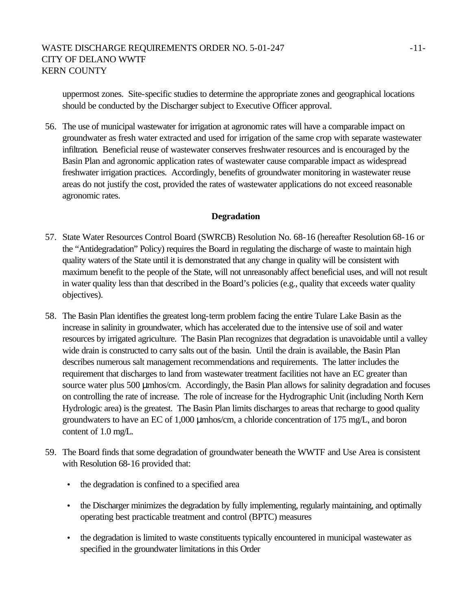uppermost zones. Site-specific studies to determine the appropriate zones and geographical locations should be conducted by the Discharger subject to Executive Officer approval.

56. The use of municipal wastewater for irrigation at agronomic rates will have a comparable impact on groundwater as fresh water extracted and used for irrigation of the same crop with separate wastewater infiltration. Beneficial reuse of wastewater conserves freshwater resources and is encouraged by the Basin Plan and agronomic application rates of wastewater cause comparable impact as widespread freshwater irrigation practices. Accordingly, benefits of groundwater monitoring in wastewater reuse areas do not justify the cost, provided the rates of wastewater applications do not exceed reasonable agronomic rates.

### **Degradation**

- 57. State Water Resources Control Board (SWRCB) Resolution No. 68-16 (hereafter Resolution 68-16 or the "Antidegradation" Policy) requires the Board in regulating the discharge of waste to maintain high quality waters of the State until it is demonstrated that any change in quality will be consistent with maximum benefit to the people of the State, will not unreasonably affect beneficial uses, and will not result in water quality less than that described in the Board's policies (e.g., quality that exceeds water quality objectives).
- 58. The Basin Plan identifies the greatest long-term problem facing the entire Tulare Lake Basin as the increase in salinity in groundwater, which has accelerated due to the intensive use of soil and water resources by irrigated agriculture. The Basin Plan recognizes that degradation is unavoidable until a valley wide drain is constructed to carry salts out of the basin. Until the drain is available, the Basin Plan describes numerous salt management recommendations and requirements. The latter includes the requirement that discharges to land from wastewater treatment facilities not have an EC greater than source water plus 500 μmhos/cm. Accordingly, the Basin Plan allows for salinity degradation and focuses on controlling the rate of increase. The role of increase for the Hydrographic Unit (including North Kern Hydrologic area) is the greatest. The Basin Plan limits discharges to areas that recharge to good quality groundwaters to have an EC of 1,000 μmhos/cm, a chloride concentration of 175 mg/L, and boron content of 1.0 mg/L.
- 59. The Board finds that some degradation of groundwater beneath the WWTF and Use Area is consistent with Resolution 68-16 provided that:
	- the degradation is confined to a specified area
	- the Discharger minimizes the degradation by fully implementing, regularly maintaining, and optimally operating best practicable treatment and control (BPTC) measures
	- the degradation is limited to waste constituents typically encountered in municipal wastewater as specified in the groundwater limitations in this Order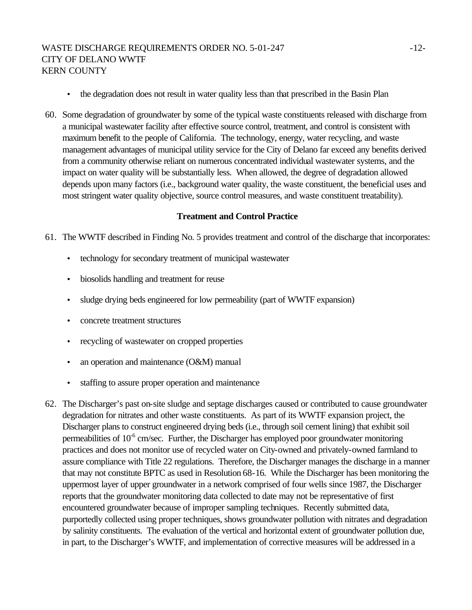# WASTE DISCHARGE REQUIREMENTS ORDER NO. 5-01-247  $-12$ -CITY OF DELANO WWTF KERN COUNTY

- the degradation does not result in water quality less than that prescribed in the Basin Plan
- 60. Some degradation of groundwater by some of the typical waste constituents released with discharge from a municipal wastewater facility after effective source control, treatment, and control is consistent with maximum benefit to the people of California. The technology, energy, water recycling, and waste management advantages of municipal utility service for the City of Delano far exceed any benefits derived from a community otherwise reliant on numerous concentrated individual wastewater systems, and the impact on water quality will be substantially less. When allowed, the degree of degradation allowed depends upon many factors (i.e., background water quality, the waste constituent, the beneficial uses and most stringent water quality objective, source control measures, and waste constituent treatability).

### **Treatment and Control Practice**

- 61. The WWTF described in Finding No. 5 provides treatment and control of the discharge that incorporates:
	- technology for secondary treatment of municipal wastewater
	- biosolids handling and treatment for reuse
	- sludge drying beds engineered for low permeability (part of WWTF expansion)
	- concrete treatment structures
	- recycling of wastewater on cropped properties
	- an operation and maintenance (O&M) manual
	- staffing to assure proper operation and maintenance
- 62. The Discharger's past on-site sludge and septage discharges caused or contributed to cause groundwater degradation for nitrates and other waste constituents. As part of its WWTF expansion project, the Discharger plans to construct engineered drying beds (i.e., through soil cement lining) that exhibit soil permeabilities of  $10^{-6}$  cm/sec. Further, the Discharger has employed poor groundwater monitoring practices and does not monitor use of recycled water on City-owned and privately-owned farmland to assure compliance with Title 22 regulations. Therefore, the Discharger manages the discharge in a manner that may not constitute BPTC as used in Resolution 68-16. While the Discharger has been monitoring the uppermost layer of upper groundwater in a network comprised of four wells since 1987, the Discharger reports that the groundwater monitoring data collected to date may not be representative of first encountered groundwater because of improper sampling techniques. Recently submitted data, purportedly collected using proper techniques, shows groundwater pollution with nitrates and degradation by salinity constituents. The evaluation of the vertical and horizontal extent of groundwater pollution due, in part, to the Discharger's WWTF, and implementation of corrective measures will be addressed in a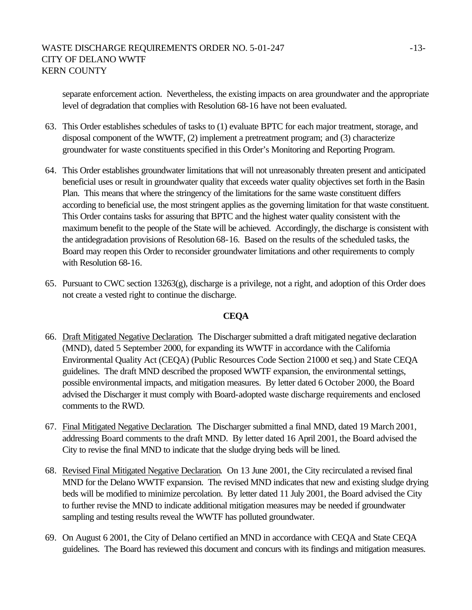# WASTE DISCHARGE REQUIREMENTS ORDER NO. 5-01-247 -13-CITY OF DELANO WWTF KERN COUNTY

separate enforcement action. Nevertheless, the existing impacts on area groundwater and the appropriate level of degradation that complies with Resolution 68-16 have not been evaluated.

- 63. This Order establishes schedules of tasks to (1) evaluate BPTC for each major treatment, storage, and disposal component of the WWTF, (2) implement a pretreatment program; and (3) characterize groundwater for waste constituents specified in this Order's Monitoring and Reporting Program.
- 64. This Order establishes groundwater limitations that will not unreasonably threaten present and anticipated beneficial uses or result in groundwater quality that exceeds water quality objectives set forth in the Basin Plan. This means that where the stringency of the limitations for the same waste constituent differs according to beneficial use, the most stringent applies as the governing limitation for that waste constituent. This Order contains tasks for assuring that BPTC and the highest water quality consistent with the maximum benefit to the people of the State will be achieved. Accordingly, the discharge is consistent with the antidegradation provisions of Resolution 68-16. Based on the results of the scheduled tasks, the Board may reopen this Order to reconsider groundwater limitations and other requirements to comply with Resolution 68-16.
- 65. Pursuant to CWC section 13263(g), discharge is a privilege, not a right, and adoption of this Order does not create a vested right to continue the discharge.

### **CEQA**

- 66. Draft Mitigated Negative Declaration. The Discharger submitted a draft mitigated negative declaration (MND), dated 5 September 2000, for expanding its WWTF in accordance with the California Environmental Quality Act (CEQA) (Public Resources Code Section 21000 et seq.) and State CEQA guidelines. The draft MND described the proposed WWTF expansion, the environmental settings, possible environmental impacts, and mitigation measures. By letter dated 6 October 2000, the Board advised the Discharger it must comply with Board-adopted waste discharge requirements and enclosed comments to the RWD.
- 67. Final Mitigated Negative Declaration. The Discharger submitted a final MND, dated 19 March 2001, addressing Board comments to the draft MND. By letter dated 16 April 2001, the Board advised the City to revise the final MND to indicate that the sludge drying beds will be lined.
- 68. Revised Final Mitigated Negative Declaration. On 13 June 2001, the City recirculated a revised final MND for the Delano WWTF expansion. The revised MND indicates that new and existing sludge drying beds will be modified to minimize percolation. By letter dated 11 July 2001, the Board advised the City to further revise the MND to indicate additional mitigation measures may be needed if groundwater sampling and testing results reveal the WWTF has polluted groundwater.
- 69. On August 6 2001, the City of Delano certified an MND in accordance with CEQA and State CEQA guidelines. The Board has reviewed this document and concurs with its findings and mitigation measures.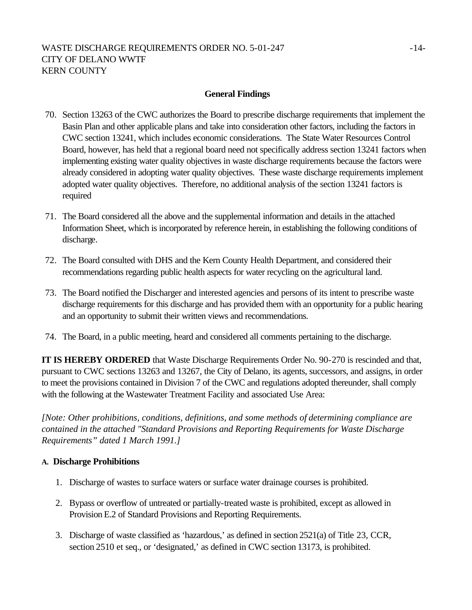### **General Findings**

- 70. Section 13263 of the CWC authorizes the Board to prescribe discharge requirements that implement the Basin Plan and other applicable plans and take into consideration other factors, including the factors in CWC section 13241, which includes economic considerations. The State Water Resources Control Board, however, has held that a regional board need not specifically address section 13241 factors when implementing existing water quality objectives in waste discharge requirements because the factors were already considered in adopting water quality objectives. These waste discharge requirements implement adopted water quality objectives. Therefore, no additional analysis of the section 13241 factors is required
- 71. The Board considered all the above and the supplemental information and details in the attached Information Sheet, which is incorporated by reference herein, in establishing the following conditions of discharge.
- 72. The Board consulted with DHS and the Kern County Health Department, and considered their recommendations regarding public health aspects for water recycling on the agricultural land.
- 73. The Board notified the Discharger and interested agencies and persons of its intent to prescribe waste discharge requirements for this discharge and has provided them with an opportunity for a public hearing and an opportunity to submit their written views and recommendations.
- 74. The Board, in a public meeting, heard and considered all comments pertaining to the discharge.

**IT IS HEREBY ORDERED** that Waste Discharge Requirements Order No. 90-270 is rescinded and that, pursuant to CWC sections 13263 and 13267, the City of Delano, its agents, successors, and assigns, in order to meet the provisions contained in Division 7 of the CWC and regulations adopted thereunder, shall comply with the following at the Wastewater Treatment Facility and associated Use Area:

*[Note: Other prohibitions, conditions, definitions, and some methods of determining compliance are contained in the attached "Standard Provisions and Reporting Requirements for Waste Discharge Requirements" dated 1 March 1991.]*

### **A. Discharge Prohibitions**

- 1. Discharge of wastes to surface waters or surface water drainage courses is prohibited.
- 2. Bypass or overflow of untreated or partially-treated waste is prohibited, except as allowed in Provision E.2 of Standard Provisions and Reporting Requirements.
- 3. Discharge of waste classified as 'hazardous,' as defined in section 2521(a) of Title 23, CCR, section 2510 et seq., or 'designated,' as defined in CWC section 13173, is prohibited.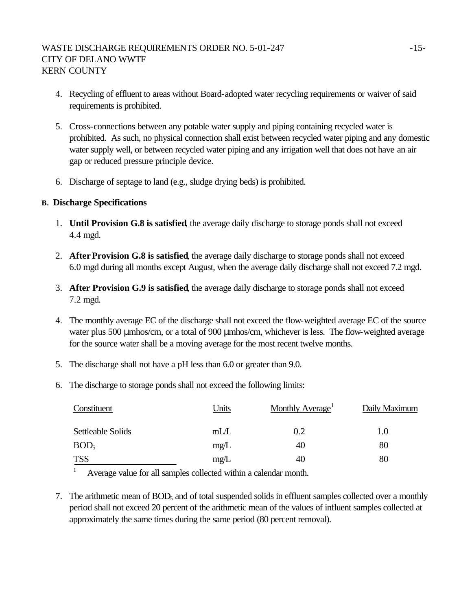# WASTE DISCHARGE REQUIREMENTS ORDER NO. 5-01-247 -15-CITY OF DELANO WWTF KERN COUNTY

- 4. Recycling of effluent to areas without Board-adopted water recycling requirements or waiver of said requirements is prohibited.
- 5. Cross-connections between any potable water supply and piping containing recycled water is prohibited. As such, no physical connection shall exist between recycled water piping and any domestic water supply well, or between recycled water piping and any irrigation well that does not have an air gap or reduced pressure principle device.
- 6. Discharge of septage to land (e.g., sludge drying beds) is prohibited.

### **B. Discharge Specifications**

- 1. **Until Provision G.8 is satisfied**, the average daily discharge to storage ponds shall not exceed 4.4 mgd.
- 2. **After Provision G.8 is satisfied**, the average daily discharge to storage ponds shall not exceed 6.0 mgd during all months except August, when the average daily discharge shall not exceed 7.2 mgd.
- 3. **After Provision G.9 is satisfied**, the average daily discharge to storage ponds shall not exceed 7.2 mgd.
- 4. The monthly average EC of the discharge shall not exceed the flow-weighted average EC of the source water plus 500 μmhos/cm, or a total of 900 μmhos/cm, whichever is less. The flow-weighted average for the source water shall be a moving average for the most recent twelve months.
- 5. The discharge shall not have a pH less than 6.0 or greater than 9.0.
- 6. The discharge to storage ponds shall not exceed the following limits:

| Constituent       | Units | Monthly Average <sup>1</sup> | Daily Maximum |
|-------------------|-------|------------------------------|---------------|
| Settleable Solids | mL/L  | 0.2                          | 1.0           |
| BOD <sub>5</sub>  | mg/L  | 40                           | 80            |
| <b>TSS</b>        | mg/L  | 40                           | 80            |

<sup>1</sup> Average value for all samples collected within a calendar month.

7. The arithmetic mean of BOD<sub>5</sub> and of total suspended solids in effluent samples collected over a monthly period shall not exceed 20 percent of the arithmetic mean of the values of influent samples collected at approximately the same times during the same period (80 percent removal).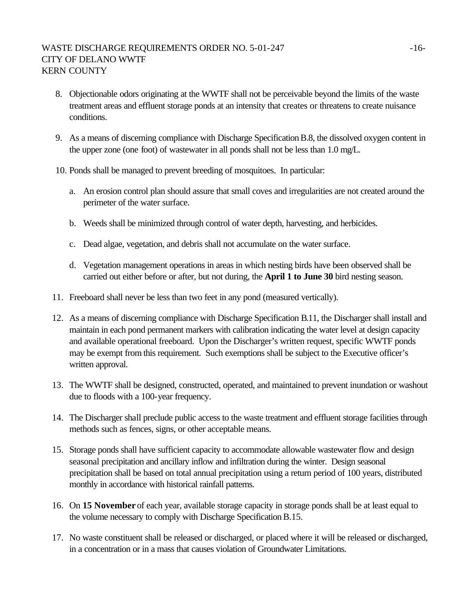# WASTE DISCHARGE REQUIREMENTS ORDER NO. 5-01-247  $-16$ -CITY OF DELANO WWTF KERN COUNTY

- 8. Objectionable odors originating at the WWTF shall not be perceivable beyond the limits of the waste treatment areas and effluent storage ponds at an intensity that creates or threatens to create nuisance conditions.
- 9. As a means of discerning compliance with Discharge Specification B.8, the dissolved oxygen content in the upper zone (one foot) of wastewater in all ponds shall not be less than 1.0 mg/L.
- 10. Ponds shall be managed to prevent breeding of mosquitoes. In particular:
	- a. An erosion control plan should assure that small coves and irregularities are not created around the perimeter of the water surface.
	- b. Weeds shall be minimized through control of water depth, harvesting, and herbicides.
	- c. Dead algae, vegetation, and debris shall not accumulate on the water surface.
	- d. Vegetation management operations in areas in which nesting birds have been observed shall be carried out either before or after, but not during, the **April 1 to June 30** bird nesting season.
- 11. Freeboard shall never be less than two feet in any pond (measured vertically).
- 12. As a means of discerning compliance with Discharge Specification B.11, the Discharger shall install and maintain in each pond permanent markers with calibration indicating the water level at design capacity and available operational freeboard. Upon the Discharger's written request, specific WWTF ponds may be exempt from this requirement. Such exemptions shall be subject to the Executive officer's written approval.
- 13. The WWTF shall be designed, constructed, operated, and maintained to prevent inundation or washout due to floods with a 100-year frequency.
- 14. The Discharger shall preclude public access to the waste treatment and effluent storage facilities through methods such as fences, signs, or other acceptable means.
- 15. Storage ponds shall have sufficient capacity to accommodate allowable wastewater flow and design seasonal precipitation and ancillary inflow and infiltration during the winter. Design seasonal precipitation shall be based on total annual precipitation using a return period of 100 years, distributed monthly in accordance with historical rainfall patterns.
- 16. On **15 November** of each year, available storage capacity in storage ponds shall be at least equal to the volume necessary to comply with Discharge Specification B.15.
- 17. No waste constituent shall be released or discharged, or placed where it will be released or discharged, in a concentration or in a mass that causes violation of Groundwater Limitations.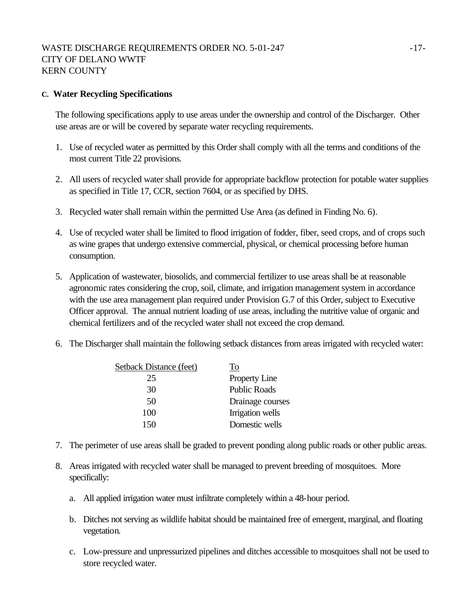## WASTE DISCHARGE REQUIREMENTS ORDER NO. 5-01-247  $-17$ -CITY OF DELANO WWTF KERN COUNTY

### **C. Water Recycling Specifications**

The following specifications apply to use areas under the ownership and control of the Discharger. Other use areas are or will be covered by separate water recycling requirements.

- 1. Use of recycled water as permitted by this Order shall comply with all the terms and conditions of the most current Title 22 provisions.
- 2. All users of recycled water shall provide for appropriate backflow protection for potable water supplies as specified in Title 17, CCR, section 7604, or as specified by DHS.
- 3. Recycled water shall remain within the permitted Use Area (as defined in Finding No. 6).
- 4. Use of recycled water shall be limited to flood irrigation of fodder, fiber, seed crops, and of crops such as wine grapes that undergo extensive commercial, physical, or chemical processing before human consumption.
- 5. Application of wastewater, biosolids, and commercial fertilizer to use areas shall be at reasonable agronomic rates considering the crop, soil, climate, and irrigation management system in accordance with the use area management plan required under Provision G.7 of this Order, subject to Executive Officer approval. The annual nutrient loading of use areas, including the nutritive value of organic and chemical fertilizers and of the recycled water shall not exceed the crop demand.
- 6. The Discharger shall maintain the following setback distances from areas irrigated with recycled water:

| Setback Distance (feet) | Tо                   |
|-------------------------|----------------------|
| 25                      | <b>Property Line</b> |
| 30                      | <b>Public Roads</b>  |
| 50                      | Drainage courses     |
| 100                     | Irrigation wells     |
| 150                     | Domestic wells       |

- 7. The perimeter of use areas shall be graded to prevent ponding along public roads or other public areas.
- 8. Areas irrigated with recycled water shall be managed to prevent breeding of mosquitoes. More specifically:
	- a. All applied irrigation water must infiltrate completely within a 48-hour period.
	- b. Ditches not serving as wildlife habitat should be maintained free of emergent, marginal, and floating vegetation.
	- c. Low-pressure and unpressurized pipelines and ditches accessible to mosquitoes shall not be used to store recycled water.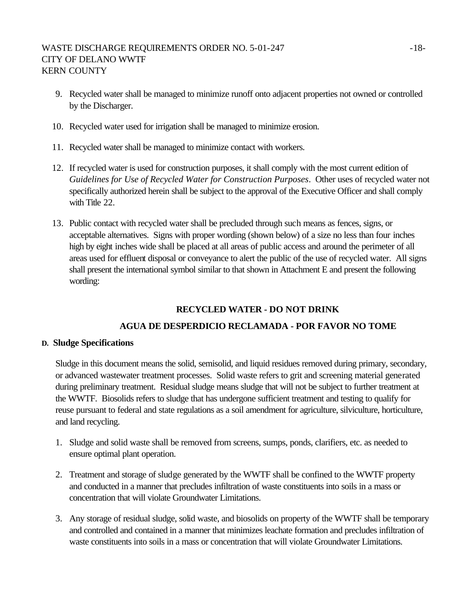# WASTE DISCHARGE REQUIREMENTS ORDER NO. 5-01-247  $-18$ -CITY OF DELANO WWTF KERN COUNTY

- 9. Recycled water shall be managed to minimize runoff onto adjacent properties not owned or controlled by the Discharger.
- 10. Recycled water used for irrigation shall be managed to minimize erosion.
- 11. Recycled water shall be managed to minimize contact with workers.
- 12. If recycled water is used for construction purposes, it shall comply with the most current edition of *Guidelines for Use of Recycled Water for Construction Purposes*. Other uses of recycled water not specifically authorized herein shall be subject to the approval of the Executive Officer and shall comply with Title 22.
- 13. Public contact with recycled water shall be precluded through such means as fences, signs, or acceptable alternatives. Signs with proper wording (shown below) of a size no less than four inches high by eight inches wide shall be placed at all areas of public access and around the perimeter of all areas used for effluent disposal or conveyance to alert the public of the use of recycled water. All signs shall present the international symbol similar to that shown in Attachment E and present the following wording:

# **RECYCLED WATER - DO NOT DRINK**

# **AGUA DE DESPERDICIO RECLAMADA - POR FAVOR NO TOME**

### **D. Sludge Specifications**

Sludge in this document means the solid, semisolid, and liquid residues removed during primary, secondary, or advanced wastewater treatment processes. Solid waste refers to grit and screening material generated during preliminary treatment. Residual sludge means sludge that will not be subject to further treatment at the WWTF. Biosolids refers to sludge that has undergone sufficient treatment and testing to qualify for reuse pursuant to federal and state regulations as a soil amendment for agriculture, silviculture, horticulture, and land recycling.

- 1. Sludge and solid waste shall be removed from screens, sumps, ponds, clarifiers, etc. as needed to ensure optimal plant operation.
- 2. Treatment and storage of sludge generated by the WWTF shall be confined to the WWTF property and conducted in a manner that precludes infiltration of waste constituents into soils in a mass or concentration that will violate Groundwater Limitations.
- 3. Any storage of residual sludge, solid waste, and biosolids on property of the WWTF shall be temporary and controlled and contained in a manner that minimizes leachate formation and precludes infiltration of waste constituents into soils in a mass or concentration that will violate Groundwater Limitations.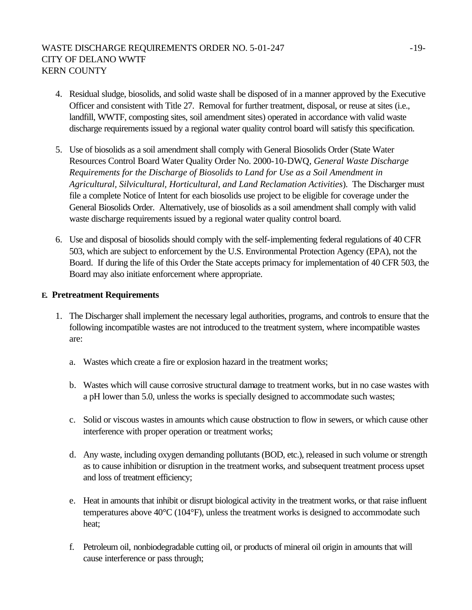# WASTE DISCHARGE REQUIREMENTS ORDER NO. 5-01-247 -19-CITY OF DELANO WWTF KERN COUNTY

- 4. Residual sludge, biosolids, and solid waste shall be disposed of in a manner approved by the Executive Officer and consistent with Title 27. Removal for further treatment, disposal, or reuse at sites (i.e., landfill, WWTF, composting sites, soil amendment sites) operated in accordance with valid waste discharge requirements issued by a regional water quality control board will satisfy this specification.
- 5. Use of biosolids as a soil amendment shall comply with General Biosolids Order (State Water Resources Control Board Water Quality Order No. 2000-10-DWQ, *General Waste Discharge Requirements for the Discharge of Biosolids to Land for Use as a Soil Amendment in Agricultural, Silvicultural, Horticultural, and Land Reclamation Activities*). The Discharger must file a complete Notice of Intent for each biosolids use project to be eligible for coverage under the General Biosolids Order. Alternatively, use of biosolids as a soil amendment shall comply with valid waste discharge requirements issued by a regional water quality control board.
- 6. Use and disposal of biosolids should comply with the self-implementing federal regulations of 40 CFR 503, which are subject to enforcement by the U.S. Environmental Protection Agency (EPA), not the Board. If during the life of this Order the State accepts primacy for implementation of 40 CFR 503, the Board may also initiate enforcement where appropriate.

### **E. Pretreatment Requirements**

- 1. The Discharger shall implement the necessary legal authorities, programs, and controls to ensure that the following incompatible wastes are not introduced to the treatment system, where incompatible wastes are:
	- a. Wastes which create a fire or explosion hazard in the treatment works;
	- b. Wastes which will cause corrosive structural damage to treatment works, but in no case wastes with a pH lower than 5.0, unless the works is specially designed to accommodate such wastes;
	- c. Solid or viscous wastes in amounts which cause obstruction to flow in sewers, or which cause other interference with proper operation or treatment works;
	- d. Any waste, including oxygen demanding pollutants (BOD, etc.), released in such volume or strength as to cause inhibition or disruption in the treatment works, and subsequent treatment process upset and loss of treatment efficiency;
	- e. Heat in amounts that inhibit or disrupt biological activity in the treatment works, or that raise influent temperatures above 40°C (104°F), unless the treatment works is designed to accommodate such heat;
	- f. Petroleum oil, nonbiodegradable cutting oil, or products of mineral oil origin in amounts that will cause interference or pass through;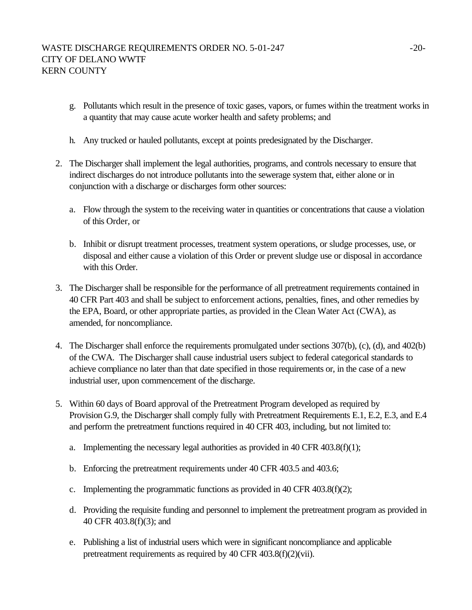- g. Pollutants which result in the presence of toxic gases, vapors, or fumes within the treatment works in a quantity that may cause acute worker health and safety problems; and
- h. Any trucked or hauled pollutants, except at points predesignated by the Discharger.
- 2. The Discharger shall implement the legal authorities, programs, and controls necessary to ensure that indirect discharges do not introduce pollutants into the sewerage system that, either alone or in conjunction with a discharge or discharges form other sources:
	- a. Flow through the system to the receiving water in quantities or concentrations that cause a violation of this Order, or
	- b. Inhibit or disrupt treatment processes, treatment system operations, or sludge processes, use, or disposal and either cause a violation of this Order or prevent sludge use or disposal in accordance with this Order.
- 3. The Discharger shall be responsible for the performance of all pretreatment requirements contained in 40 CFR Part 403 and shall be subject to enforcement actions, penalties, fines, and other remedies by the EPA, Board, or other appropriate parties, as provided in the Clean Water Act (CWA), as amended, for noncompliance.
- 4. The Discharger shall enforce the requirements promulgated under sections 307(b), (c), (d), and 402(b) of the CWA. The Discharger shall cause industrial users subject to federal categorical standards to achieve compliance no later than that date specified in those requirements or, in the case of a new industrial user, upon commencement of the discharge.
- 5. Within 60 days of Board approval of the Pretreatment Program developed as required by Provision G.9, the Discharger shall comply fully with Pretreatment Requirements E.1, E.2, E.3, and E.4 and perform the pretreatment functions required in 40 CFR 403, including, but not limited to:
	- a. Implementing the necessary legal authorities as provided in 40 CFR  $403.8(f)(1)$ ;
	- b. Enforcing the pretreatment requirements under 40 CFR 403.5 and 403.6;
	- c. Implementing the programmatic functions as provided in 40 CFR 403.8(f)(2);
	- d. Providing the requisite funding and personnel to implement the pretreatment program as provided in 40 CFR 403.8(f)(3); and
	- e. Publishing a list of industrial users which were in significant noncompliance and applicable pretreatment requirements as required by 40 CFR 403.8(f)(2)(vii).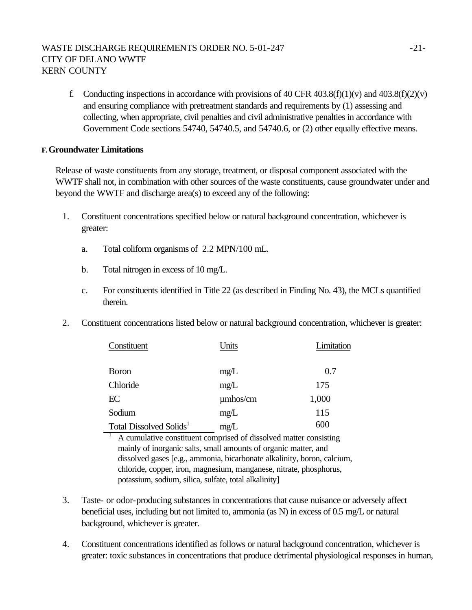# WASTE DISCHARGE REQUIREMENTS ORDER NO. 5-01-247  $-21$ -CITY OF DELANO WWTF KERN COUNTY

f. Conducting inspections in accordance with provisions of 40 CFR 403.8(f)(1)(v) and 403.8(f)(2)(v) and ensuring compliance with pretreatment standards and requirements by (1) assessing and collecting, when appropriate, civil penalties and civil administrative penalties in accordance with Government Code sections 54740, 54740.5, and 54740.6, or (2) other equally effective means.

### **F.Groundwater Limitations**

Release of waste constituents from any storage, treatment, or disposal component associated with the WWTF shall not, in combination with other sources of the waste constituents, cause groundwater under and beyond the WWTF and discharge area(s) to exceed any of the following:

- 1. Constituent concentrations specified below or natural background concentration, whichever is greater:
	- a. Total coliform organisms of 2.2 MPN/100 mL.
	- b. Total nitrogen in excess of 10 mg/L.
	- c. For constituents identified in Title 22 (as described in Finding No. 43), the MCLs quantified therein.
- 2. Constituent concentrations listed below or natural background concentration, whichever is greater:

| Constituent                                                             | Jnits         | imitation |  |  |
|-------------------------------------------------------------------------|---------------|-----------|--|--|
|                                                                         |               |           |  |  |
| <b>Boron</b>                                                            | mg/L          | 0.7       |  |  |
| Chloride                                                                | mg/L          | 175       |  |  |
| EC                                                                      | $\mu$ mhos/cm | 1,000     |  |  |
| Sodium                                                                  | mg/L          | 115       |  |  |
| Total Dissolved Solids <sup>1</sup>                                     | mg/L          | 600       |  |  |
| A cumulative constituent comprised of dissolved matter consisting       |               |           |  |  |
| mainly of inorganic salts, small amounts of organic matter, and         |               |           |  |  |
| dissolved gases [e.g., ammonia, bicarbonate alkalinity, boron, calcium, |               |           |  |  |
| chloride, copper, iron, magnesium, manganese, nitrate, phosphorus,      |               |           |  |  |
| potassium, sodium, silica, sulfate, total alkalinity                    |               |           |  |  |

- 3. Taste- or odor-producing substances in concentrations that cause nuisance or adversely affect beneficial uses, including but not limited to, ammonia (as N) in excess of 0.5 mg/L or natural background, whichever is greater.
- 4. Constituent concentrations identified as follows or natural background concentration, whichever is greater: toxic substances in concentrations that produce detrimental physiological responses in human,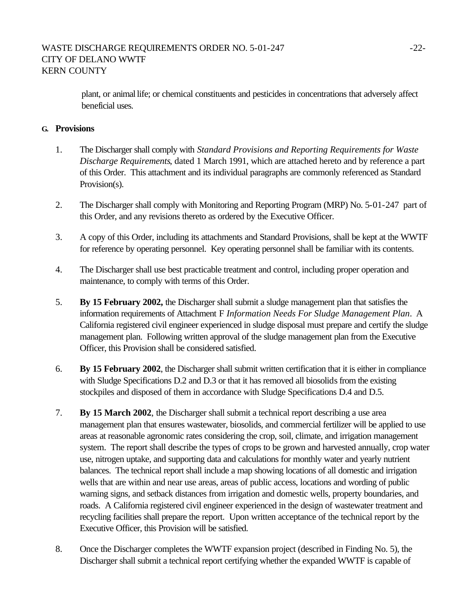# WASTE DISCHARGE REQUIREMENTS ORDER NO. 5-01-247  $-22$ -CITY OF DELANO WWTF KERN COUNTY

plant, or animal life; or chemical constituents and pesticides in concentrations that adversely affect beneficial uses.

### **G. Provisions**

- 1. The Discharger shall comply with *Standard Provisions and Reporting Requirements for Waste Discharge Requirements*, dated 1 March 1991, which are attached hereto and by reference a part of this Order. This attachment and its individual paragraphs are commonly referenced as Standard Provision(s).
- 2. The Discharger shall comply with Monitoring and Reporting Program (MRP) No. 5-01-247 part of this Order, and any revisions thereto as ordered by the Executive Officer.
- 3. A copy of this Order, including its attachments and Standard Provisions, shall be kept at the WWTF for reference by operating personnel. Key operating personnel shall be familiar with its contents.
- 4. The Discharger shall use best practicable treatment and control, including proper operation and maintenance, to comply with terms of this Order.
- 5. **By 15 February 2002,** the Discharger shall submit a sludge management plan that satisfies the information requirements of Attachment F *Information Needs For Sludge Management Plan*. A California registered civil engineer experienced in sludge disposal must prepare and certify the sludge management plan. Following written approval of the sludge management plan from the Executive Officer, this Provision shall be considered satisfied.
- 6. **By 15 February 2002**, the Discharger shall submit written certification that it is either in compliance with Sludge Specifications D.2 and D.3 or that it has removed all biosolids from the existing stockpiles and disposed of them in accordance with Sludge Specifications D.4 and D.5.
- 7. **By 15 March 2002**, the Discharger shall submit a technical report describing a use area management plan that ensures wastewater, biosolids, and commercial fertilizer will be applied to use areas at reasonable agronomic rates considering the crop, soil, climate, and irrigation management system. The report shall describe the types of crops to be grown and harvested annually, crop water use, nitrogen uptake, and supporting data and calculations for monthly water and yearly nutrient balances. The technical report shall include a map showing locations of all domestic and irrigation wells that are within and near use areas, areas of public access, locations and wording of public warning signs, and setback distances from irrigation and domestic wells, property boundaries, and roads. A California registered civil engineer experienced in the design of wastewater treatment and recycling facilities shall prepare the report. Upon written acceptance of the technical report by the Executive Officer, this Provision will be satisfied.
- 8. Once the Discharger completes the WWTF expansion project (described in Finding No. 5), the Discharger shall submit a technical report certifying whether the expanded WWTF is capable of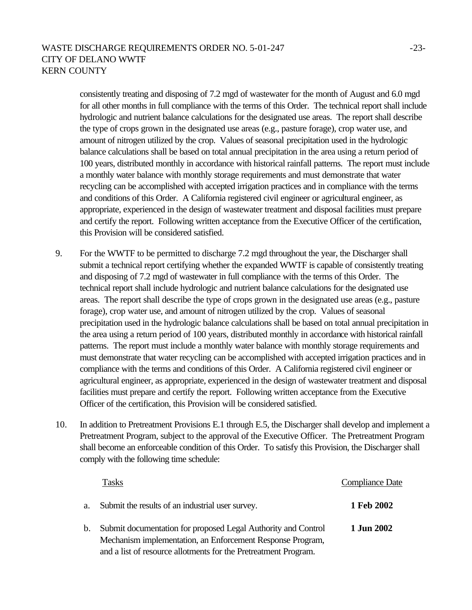# WASTE DISCHARGE REQUIREMENTS ORDER NO. 5-01-247  $-23$ -CITY OF DELANO WWTF KERN COUNTY

consistently treating and disposing of 7.2 mgd of wastewater for the month of August and 6.0 mgd for all other months in full compliance with the terms of this Order. The technical report shall include hydrologic and nutrient balance calculations for the designated use areas. The report shall describe the type of crops grown in the designated use areas (e.g., pasture forage), crop water use, and amount of nitrogen utilized by the crop. Values of seasonal precipitation used in the hydrologic balance calculations shall be based on total annual precipitation in the area using a return period of 100 years, distributed monthly in accordance with historical rainfall patterns. The report must include a monthly water balance with monthly storage requirements and must demonstrate that water recycling can be accomplished with accepted irrigation practices and in compliance with the terms and conditions of this Order. A California registered civil engineer or agricultural engineer, as appropriate, experienced in the design of wastewater treatment and disposal facilities must prepare and certify the report. Following written acceptance from the Executive Officer of the certification, this Provision will be considered satisfied.

- 9. For the WWTF to be permitted to discharge 7.2 mgd throughout the year, the Discharger shall submit a technical report certifying whether the expanded WWTF is capable of consistently treating and disposing of 7.2 mgd of wastewater in full compliance with the terms of this Order. The technical report shall include hydrologic and nutrient balance calculations for the designated use areas. The report shall describe the type of crops grown in the designated use areas (e.g., pasture forage), crop water use, and amount of nitrogen utilized by the crop. Values of seasonal precipitation used in the hydrologic balance calculations shall be based on total annual precipitation in the area using a return period of 100 years, distributed monthly in accordance with historical rainfall patterns. The report must include a monthly water balance with monthly storage requirements and must demonstrate that water recycling can be accomplished with accepted irrigation practices and in compliance with the terms and conditions of this Order. A California registered civil engineer or agricultural engineer, as appropriate, experienced in the design of wastewater treatment and disposal facilities must prepare and certify the report. Following written acceptance from the Executive Officer of the certification, this Provision will be considered satisfied.
- 10. In addition to Pretreatment Provisions E.1 through E.5, the Discharger shall develop and implement a Pretreatment Program, subject to the approval of the Executive Officer. The Pretreatment Program shall become an enforceable condition of this Order. To satisfy this Provision, the Discharger shall comply with the following time schedule:

|    | <b>Tasks</b>                                                                                                                                                                                   | <b>Compliance Date</b> |
|----|------------------------------------------------------------------------------------------------------------------------------------------------------------------------------------------------|------------------------|
| а. | Submit the results of an industrial user survey.                                                                                                                                               | 1 Feb 2002             |
| b. | Submit documentation for proposed Legal Authority and Control<br>Mechanism implementation, an Enforcement Response Program,<br>and a list of resource allotments for the Pretreatment Program. | 1 Jun 2002             |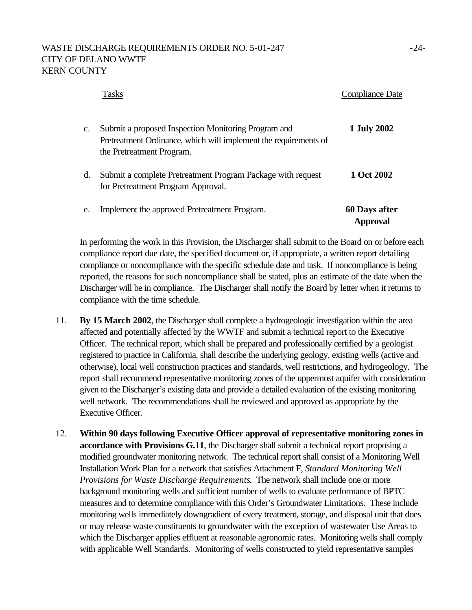# WASTE DISCHARGE REQUIREMENTS ORDER NO. 5-01-247  $-24$ -CITY OF DELANO WWTF KERN COUNTY

|                | Tasks                                                                                                                                                | Compliance Date                  |
|----------------|------------------------------------------------------------------------------------------------------------------------------------------------------|----------------------------------|
| $\mathbf{c}$ . | Submit a proposed Inspection Monitoring Program and<br>Pretreatment Ordinance, which will implement the requirements of<br>the Pretreatment Program. | <b>1 July 2002</b>               |
| d.             | Submit a complete Pretreatment Program Package with request<br>for Pretreatment Program Approval.                                                    | 1 Oct 2002                       |
| e.             | Implement the approved Pretreatment Program.                                                                                                         | 60 Days after<br><b>Approval</b> |

In performing the work in this Provision, the Discharger shall submit to the Board on or before each compliance report due date, the specified document or, if appropriate, a written report detailing compliance or noncompliance with the specific schedule date and task. If noncompliance is being reported, the reasons for such noncompliance shall be stated, plus an estimate of the date when the Discharger will be in compliance. The Discharger shall notify the Board by letter when it returns to compliance with the time schedule.

- 11. **By 15 March 2002**, the Discharger shall complete a hydrogeologic investigation within the area affected and potentially affected by the WWTF and submit a technical report to the Executive Officer. The technical report, which shall be prepared and professionally certified by a geologist registered to practice in California, shall describe the underlying geology, existing wells (active and otherwise), local well construction practices and standards, well restrictions, and hydrogeology. The report shall recommend representative monitoring zones of the uppermost aquifer with consideration given to the Discharger's existing data and provide a detailed evaluation of the existing monitoring well network. The recommendations shall be reviewed and approved as appropriate by the Executive Officer.
- 12. **Within 90 days following Executive Officer approval of representative monitoring zones in accordance with Provisions G.11**, the Discharger shall submit a technical report proposing a modified groundwater monitoring network. The technical report shall consist of a Monitoring Well Installation Work Plan for a network that satisfies Attachment F, *Standard Monitoring Well Provisions for Waste Discharge Requirements*. The network shall include one or more background monitoring wells and sufficient number of wells to evaluate performance of BPTC measures and to determine compliance with this Order's Groundwater Limitations. These include monitoring wells immediately downgradient of every treatment, storage, and disposal unit that does or may release waste constituents to groundwater with the exception of wastewater Use Areas to which the Discharger applies effluent at reasonable agronomic rates. Monitoring wells shall comply with applicable Well Standards. Monitoring of wells constructed to yield representative samples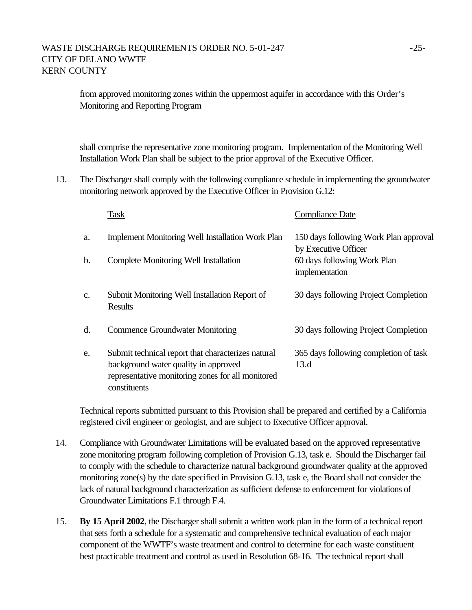# WASTE DISCHARGE REQUIREMENTS ORDER NO. 5-01-247  $-25$ -CITY OF DELANO WWTF KERN COUNTY

from approved monitoring zones within the uppermost aquifer in accordance with this Order's Monitoring and Reporting Program

shall comprise the representative zone monitoring program. Implementation of the Monitoring Well Installation Work Plan shall be subject to the prior approval of the Executive Officer.

13. The Discharger shall comply with the following compliance schedule in implementing the groundwater monitoring network approved by the Executive Officer in Provision G.12:

|                     | Task                                                                                                                                                            | <b>Compliance Date</b>                                                                                         |
|---------------------|-----------------------------------------------------------------------------------------------------------------------------------------------------------------|----------------------------------------------------------------------------------------------------------------|
| a.<br>$\mathbf b$ . | <b>Implement Monitoring Well Installation Work Plan</b><br><b>Complete Monitoring Well Installation</b>                                                         | 150 days following Work Plan approval<br>by Executive Officer<br>60 days following Work Plan<br>implementation |
| c.                  | Submit Monitoring Well Installation Report of<br><b>Results</b>                                                                                                 | 30 days following Project Completion                                                                           |
| d.                  | Commence Groundwater Monitoring                                                                                                                                 | 30 days following Project Completion                                                                           |
| e.                  | Submit technical report that characterizes natural<br>background water quality in approved<br>representative monitoring zones for all monitored<br>constituents | 365 days following completion of task<br>13.d                                                                  |

Technical reports submitted pursuant to this Provision shall be prepared and certified by a California registered civil engineer or geologist, and are subject to Executive Officer approval.

- 14. Compliance with Groundwater Limitations will be evaluated based on the approved representative zone monitoring program following completion of Provision G.13, task e. Should the Discharger fail to comply with the schedule to characterize natural background groundwater quality at the approved monitoring zone(s) by the date specified in Provision G.13, task e, the Board shall not consider the lack of natural background characterization as sufficient defense to enforcement for violations of Groundwater Limitations F.1 through F.4.
- 15. **By 15 April 2002**, the Discharger shall submit a written work plan in the form of a technical report that sets forth a schedule for a systematic and comprehensive technical evaluation of each major component of the WWTF's waste treatment and control to determine for each waste constituent best practicable treatment and control as used in Resolution 68-16. The technical report shall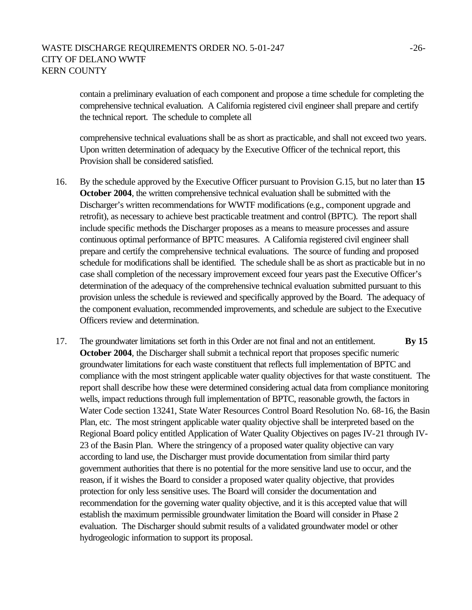# WASTE DISCHARGE REQUIREMENTS ORDER NO. 5-01-247  $-26$ -CITY OF DELANO WWTF KERN COUNTY

contain a preliminary evaluation of each component and propose a time schedule for completing the comprehensive technical evaluation. A California registered civil engineer shall prepare and certify the technical report. The schedule to complete all

comprehensive technical evaluations shall be as short as practicable, and shall not exceed two years. Upon written determination of adequacy by the Executive Officer of the technical report, this Provision shall be considered satisfied.

- 16. By the schedule approved by the Executive Officer pursuant to Provision G.15, but no later than **15 October 2004**, the written comprehensive technical evaluation shall be submitted with the Discharger's written recommendations for WWTF modifications (e.g., component upgrade and retrofit), as necessary to achieve best practicable treatment and control (BPTC). The report shall include specific methods the Discharger proposes as a means to measure processes and assure continuous optimal performance of BPTC measures. A California registered civil engineer shall prepare and certify the comprehensive technical evaluations. The source of funding and proposed schedule for modifications shall be identified. The schedule shall be as short as practicable but in no case shall completion of the necessary improvement exceed four years past the Executive Officer's determination of the adequacy of the comprehensive technical evaluation submitted pursuant to this provision unless the schedule is reviewed and specifically approved by the Board. The adequacy of the component evaluation, recommended improvements, and schedule are subject to the Executive Officers review and determination.
- 17. The groundwater limitations set forth in this Order are not final and not an entitlement. **By 15 October 2004***,* the Discharger shall submit a technical report that proposes specific numeric groundwater limitations for each waste constituent that reflects full implementation of BPTC and compliance with the most stringent applicable water quality objectives for that waste constituent. The report shall describe how these were determined considering actual data from compliance monitoring wells, impact reductions through full implementation of BPTC, reasonable growth, the factors in Water Code section 13241, State Water Resources Control Board Resolution No. 68-16, the Basin Plan, etc. The most stringent applicable water quality objective shall be interpreted based on the Regional Board policy entitled Application of Water Quality Objectives on pages IV-21 through IV-23 of the Basin Plan. Where the stringency of a proposed water quality objective can vary according to land use, the Discharger must provide documentation from similar third party government authorities that there is no potential for the more sensitive land use to occur, and the reason, if it wishes the Board to consider a proposed water quality objective, that provides protection for only less sensitive uses. The Board will consider the documentation and recommendation for the governing water quality objective, and it is this accepted value that will establish the maximum permissible groundwater limitation the Board will consider in Phase 2 evaluation. The Discharger should submit results of a validated groundwater model or other hydrogeologic information to support its proposal.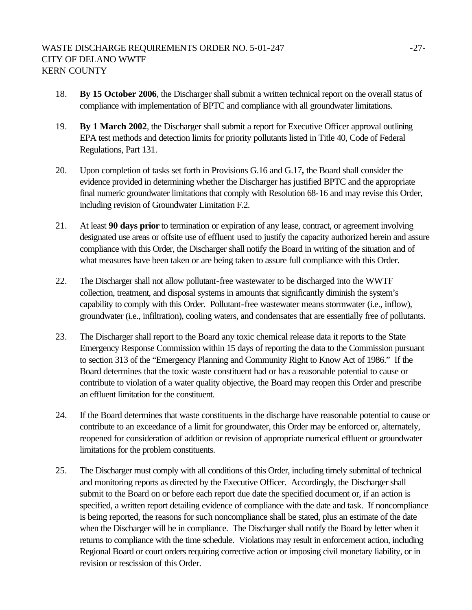- 18. **By 15 October 2006**, the Discharger shall submit a written technical report on the overall status of compliance with implementation of BPTC and compliance with all groundwater limitations.
- 19. **By 1 March 2002**, the Discharger shall submit a report for Executive Officer approval outlining EPA test methods and detection limits for priority pollutants listed in Title 40, Code of Federal Regulations, Part 131.
- 20. Upon completion of tasks set forth in Provisions G.16 and G.17**,** the Board shall consider the evidence provided in determining whether the Discharger has justified BPTC and the appropriate final numeric groundwater limitations that comply with Resolution 68-16 and may revise this Order, including revision of Groundwater Limitation F.2.
- 21. At least **90 days prior** to termination or expiration of any lease, contract, or agreement involving designated use areas or offsite use of effluent used to justify the capacity authorized herein and assure compliance with this Order, the Discharger shall notify the Board in writing of the situation and of what measures have been taken or are being taken to assure full compliance with this Order.
- 22. The Discharger shall not allow pollutant-free wastewater to be discharged into the WWTF collection, treatment, and disposal systems in amounts that significantly diminish the system's capability to comply with this Order. Pollutant-free wastewater means stormwater (i.e., inflow), groundwater (i.e., infiltration), cooling waters, and condensates that are essentially free of pollutants.
- 23. The Discharger shall report to the Board any toxic chemical release data it reports to the State Emergency Response Commission within 15 days of reporting the data to the Commission pursuant to section 313 of the "Emergency Planning and Community Right to Know Act of 1986." If the Board determines that the toxic waste constituent had or has a reasonable potential to cause or contribute to violation of a water quality objective, the Board may reopen this Order and prescribe an effluent limitation for the constituent.
- 24. If the Board determines that waste constituents in the discharge have reasonable potential to cause or contribute to an exceedance of a limit for groundwater, this Order may be enforced or, alternately, reopened for consideration of addition or revision of appropriate numerical effluent or groundwater limitations for the problem constituents.
- 25. The Discharger must comply with all conditions of this Order, including timely submittal of technical and monitoring reports as directed by the Executive Officer. Accordingly, the Discharger shall submit to the Board on or before each report due date the specified document or, if an action is specified, a written report detailing evidence of compliance with the date and task. If noncompliance is being reported, the reasons for such noncompliance shall be stated, plus an estimate of the date when the Discharger will be in compliance. The Discharger shall notify the Board by letter when it returns to compliance with the time schedule. Violations may result in enforcement action, including Regional Board or court orders requiring corrective action or imposing civil monetary liability, or in revision or rescission of this Order.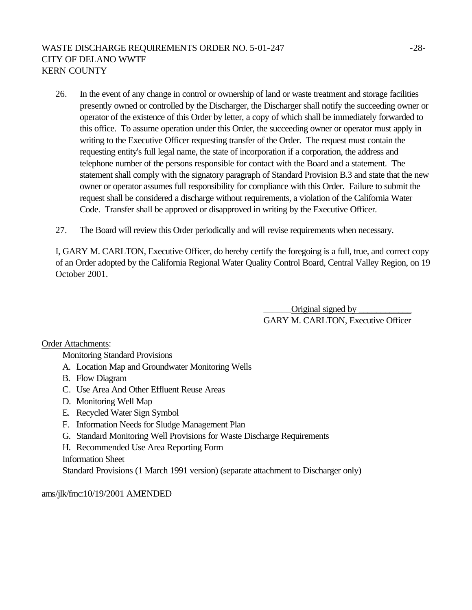# WASTE DISCHARGE REQUIREMENTS ORDER NO. 5-01-247  $-28$ -CITY OF DELANO WWTF KERN COUNTY

- 26. In the event of any change in control or ownership of land or waste treatment and storage facilities presently owned or controlled by the Discharger, the Discharger shall notify the succeeding owner or operator of the existence of this Order by letter, a copy of which shall be immediately forwarded to this office. To assume operation under this Order, the succeeding owner or operator must apply in writing to the Executive Officer requesting transfer of the Order. The request must contain the requesting entity's full legal name, the state of incorporation if a corporation, the address and telephone number of the persons responsible for contact with the Board and a statement. The statement shall comply with the signatory paragraph of Standard Provision B.3 and state that the new owner or operator assumes full responsibility for compliance with this Order. Failure to submit the request shall be considered a discharge without requirements, a violation of the California Water Code. Transfer shall be approved or disapproved in writing by the Executive Officer.
- 27. The Board will review this Order periodically and will revise requirements when necessary.

I, GARY M. CARLTON, Executive Officer, do hereby certify the foregoing is a full, true, and correct copy of an Order adopted by the California Regional Water Quality Control Board, Central Valley Region, on 19 October 2001.

> Original signed by  $\equiv$ GARY M. CARLTON, Executive Officer

Order Attachments:

Monitoring Standard Provisions

- A. Location Map and Groundwater Monitoring Wells
- B. Flow Diagram
- C. Use Area And Other Effluent Reuse Areas
- D. Monitoring Well Map
- E. Recycled Water Sign Symbol
- F. Information Needs for Sludge Management Plan
- G. Standard Monitoring Well Provisions for Waste Discharge Requirements
- H. Recommended Use Area Reporting Form
- Information Sheet

Standard Provisions (1 March 1991 version) (separate attachment to Discharger only)

ams/jlk/fmc:10/19/2001 AMENDED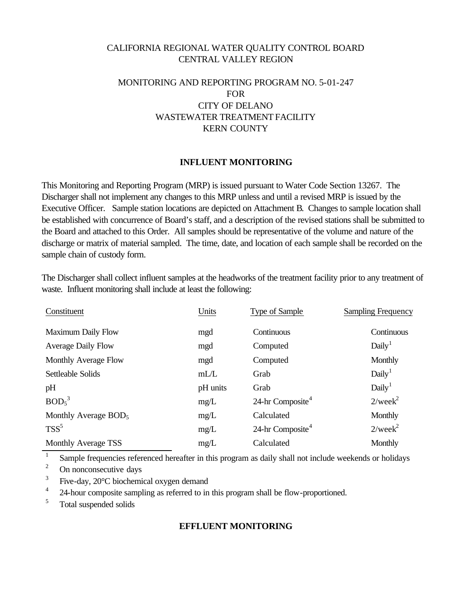# CALIFORNIA REGIONAL WATER QUALITY CONTROL BOARD CENTRAL VALLEY REGION

# MONITORING AND REPORTING PROGRAM NO. 5-01-247 FOR CITY OF DELANO WASTEWATER TREATMENT FACILITY KERN COUNTY

### **INFLUENT MONITORING**

This Monitoring and Reporting Program (MRP) is issued pursuant to Water Code Section 13267. The Discharger shall not implement any changes to this MRP unless and until a revised MRP is issued by the Executive Officer. Sample station locations are depicted on Attachment B. Changes to sample location shall be established with concurrence of Board's staff, and a description of the revised stations shall be submitted to the Board and attached to this Order. All samples should be representative of the volume and nature of the discharge or matrix of material sampled. The time, date, and location of each sample shall be recorded on the sample chain of custody form.

The Discharger shall collect influent samples at the headworks of the treatment facility prior to any treatment of waste. Influent monitoring shall include at least the following:

| Constituent                      | Units    | Type of Sample               | <b>Sampling Frequency</b> |
|----------------------------------|----------|------------------------------|---------------------------|
| <b>Maximum Daily Flow</b>        | mgd      | Continuous                   | Continuous                |
| <b>Average Daily Flow</b>        | mgd      | Computed                     | Daily <sup>1</sup>        |
| Monthly Average Flow             | mgd      | Computed                     | Monthly                   |
| Settleable Solids                | mL/L     | Grab                         | Daily <sup>1</sup>        |
| pH                               | pH units | Grab                         | Daily <sup>1</sup>        |
| BOD <sub>5</sub> <sup>3</sup>    | mg/L     | 24-hr Composite <sup>4</sup> | $2$ /week <sup>2</sup>    |
| Monthly Average BOD <sub>5</sub> | mg/L     | Calculated                   | Monthly                   |
| $TSS^5$                          | mg/L     | 24-hr Composite <sup>4</sup> | $2$ /week <sup>2</sup>    |
| Monthly Average TSS              | mg/L     | Calculated                   | Monthly                   |

1 Sample frequencies referenced hereafter in this program as daily shall not include weekends or holidays

- $2$  On nonconsecutive days
- 3 Five-day, 20°C biochemical oxygen demand

4 24-hour composite sampling as referred to in this program shall be flow-proportioned.

5 Total suspended solids

# **EFFLUENT MONITORING**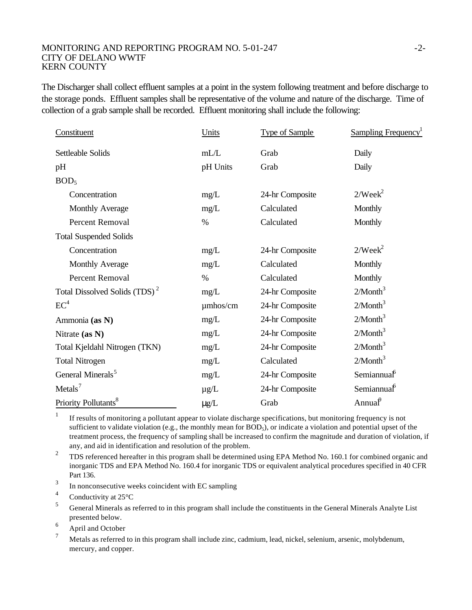The Discharger shall collect effluent samples at a point in the system following treatment and before discharge to the storage ponds. Effluent samples shall be representative of the volume and nature of the discharge. Time of collection of a grab sample shall be recorded. Effluent monitoring shall include the following:

| Constituent                               | Units         | <b>Type of Sample</b> | <b>Sampling Frequency</b> |
|-------------------------------------------|---------------|-----------------------|---------------------------|
| Settleable Solids                         | mL/L          | Grab                  | Daily                     |
| pH                                        | pH Units      | Grab                  | Daily                     |
| BOD <sub>5</sub>                          |               |                       |                           |
| Concentration                             | mg/L          | 24-hr Composite       | $2/Week^2$                |
| <b>Monthly Average</b>                    | mg/L          | Calculated            | Monthly                   |
| Percent Removal                           | $\%$          | Calculated            | Monthly                   |
| <b>Total Suspended Solids</b>             |               |                       |                           |
| Concentration                             | mg/L          | 24-hr Composite       | $2/Week^2$                |
| <b>Monthly Average</b>                    | mg/L          | Calculated            | Monthly                   |
| Percent Removal                           | $\%$          | Calculated            | Monthly                   |
| Total Dissolved Solids (TDS) <sup>2</sup> | mg/L          | 24-hr Composite       | 2/Month <sup>3</sup>      |
| $EC^4$                                    | $\mu$ mhos/cm | 24-hr Composite       | 2/Month <sup>3</sup>      |
| Ammonia (as N)                            | mg/L          | 24-hr Composite       | 2/Month <sup>3</sup>      |
| Nitrate (as N)                            | mg/L          | 24-hr Composite       | 2/Month <sup>3</sup>      |
| Total Kjeldahl Nitrogen (TKN)             | mg/L          | 24-hr Composite       | 2/Month <sup>3</sup>      |
| <b>Total Nitrogen</b>                     | mg/L          | Calculated            | 2/Month <sup>3</sup>      |
| General Minerals <sup>5</sup>             | mg/L          | 24-hr Composite       | Semiannual <sup>6</sup>   |
| Metals $7$                                | $\mu$ g/L     | 24-hr Composite       | Semiannual <sup>6</sup>   |
| Priority Pollutants <sup>8</sup>          | $\mu g/L$     | Grab                  | Annual                    |

1 If results of monitoring a pollutant appear to violate discharge specifications, but monitoring frequency is not sufficient to validate violation (e.g., the monthly mean for  $BOD<sub>5</sub>$ ), or indicate a violation and potential upset of the treatment process, the frequency of sampling shall be increased to confirm the magnitude and duration of violation, if any, and aid in identification and resolution of the problem.

2 TDS referenced hereafter in this program shall be determined using EPA Method No. 160.1 for combined organic and inorganic TDS and EPA Method No. 160.4 for inorganic TDS or equivalent analytical procedures specified in 40 CFR Part 136.

3 In nonconsecutive weeks coincident with EC sampling

4 Conductivity at 25°C

<sup>5</sup> General Minerals as referred to in this program shall include the constituents in the General Minerals Analyte List presented below.

<sup>6</sup> April and October

<sup>7</sup> Metals as referred to in this program shall include zinc, cadmium, lead, nickel, selenium, arsenic, molybdenum, mercury, and copper.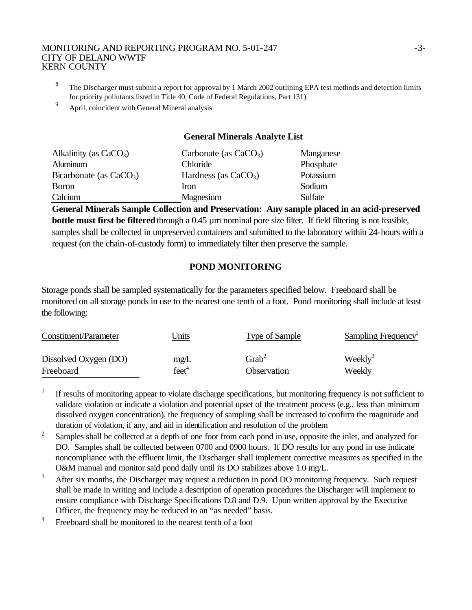- 8 The Discharger must submit a report for approval by 1 March 2002 outlining EPA test methods and detection limits for priority pollutants listed in Title 40, Code of Federal Regulations, Part 131).
- <sup>9</sup> April, coincident with General Mineral analysis

### **General Minerals Analyte List**

| Alkalinity (as $CaCO3$ )  | Carbonate (as $CaCO3$ ) | Manganese |
|---------------------------|-------------------------|-----------|
| Aluminum                  | Chloride                | Phosphate |
| Bicarbonate (as $CaCO3$ ) | Hardness (as $CaCO3$ )  | Potassium |
| <b>Boron</b>              | <b>Iron</b>             | Sodium    |
| Calcium                   | Magnesium               | Sulfate   |

**General Minerals Sample Collection and Preservation: Any sample placed in an acid-preserved bottle must first be filtered** through a 0.45 µm nominal pore size filter. If field filtering is not feasible, samples shall be collected in unpreserved containers and submitted to the laboratory within 24-hours with a request (on the chain-of-custody form) to immediately filter then preserve the sample.

### **POND MONITORING**

Storage ponds shall be sampled systematically for the parameters specified below. Freeboard shall be monitored on all storage ponds in use to the nearest one tenth of a foot. Pond monitoring shall include at least the following:

| Constituent/Parameter | Jnits             | Type of Sample     | Sampling Frequency  |
|-----------------------|-------------------|--------------------|---------------------|
| Dissolved Oxygen (DO) | mg/L              | $\rm Grab^2$       | Weekly <sup>3</sup> |
| Freeboard             | feet <sup>4</sup> | <b>Observation</b> | Weekly              |

1 If results of monitoring appear to violate discharge specifications, but monitoring frequency is not sufficient to validate violation or indicate a violation and potential upset of the treatment process (e.g., less than minimum dissolved oxygen concentration), the frequency of sampling shall be increased to confirm the magnitude and duration of violation, if any, and aid in identification and resolution of the problem

2 Samples shall be collected at a depth of one foot from each pond in use, opposite the inlet, and analyzed for DO. Samples shall be collected between 0700 and 0900 hours. If DO results for any pond in use indicate noncompliance with the effluent limit, the Discharger shall implement corrective measures as specified in the O&M manual and monitor said pond daily until its DO stabilizes above 1.0 mg/L.

<sup>3</sup> After six months, the Discharger may request a reduction in pond DO monitoring frequency. Such request shall be made in writing and include a description of operation procedures the Discharger will implement to ensure compliance with Discharge Specifications D.8 and D.9. Upon written approval by the Executive Officer, the frequency may be reduced to an "as needed" basis.

4 Freeboard shall be monitored to the nearest tenth of a foot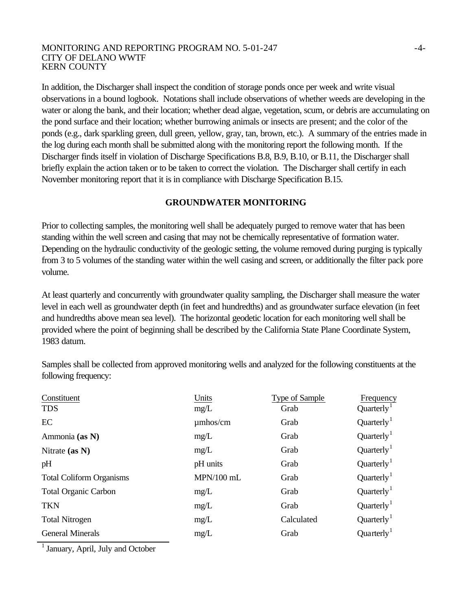In addition, the Discharger shall inspect the condition of storage ponds once per week and write visual observations in a bound logbook. Notations shall include observations of whether weeds are developing in the water or along the bank, and their location; whether dead algae, vegetation, scum, or debris are accumulating on the pond surface and their location; whether burrowing animals or insects are present; and the color of the ponds (e.g., dark sparkling green, dull green, yellow, gray, tan, brown, etc.). A summary of the entries made in the log during each month shall be submitted along with the monitoring report the following month. If the Discharger finds itself in violation of Discharge Specifications B.8, B.9, B.10, or B.11, the Discharger shall briefly explain the action taken or to be taken to correct the violation. The Discharger shall certify in each November monitoring report that it is in compliance with Discharge Specification B.15.

### **GROUNDWATER MONITORING**

Prior to collecting samples, the monitoring well shall be adequately purged to remove water that has been standing within the well screen and casing that may not be chemically representative of formation water. Depending on the hydraulic conductivity of the geologic setting, the volume removed during purging is typically from 3 to 5 volumes of the standing water within the well casing and screen, or additionally the filter pack pore volume.

At least quarterly and concurrently with groundwater quality sampling, the Discharger shall measure the water level in each well as groundwater depth (in feet and hundredths) and as groundwater surface elevation (in feet and hundredths above mean sea level). The horizontal geodetic location for each monitoring well shall be provided where the point of beginning shall be described by the California State Plane Coordinate System, 1983 datum.

Samples shall be collected from approved monitoring wells and analyzed for the following constituents at the following frequency:

| Constituent                     | Units         | <b>Type of Sample</b> | Frequency              |
|---------------------------------|---------------|-----------------------|------------------------|
| <b>TDS</b>                      | mg/L          | Grab                  | Quarterly <sup>1</sup> |
| EC                              | $\mu$ mhos/cm | Grab                  | Quarterly <sup>1</sup> |
| Ammonia (as N)                  | mg/L          | Grab                  | Quarterly <sup>1</sup> |
| Nitrate $(as N)$                | mg/L          | Grab                  | Quarterly <sup>1</sup> |
| pH                              | pH units      | Grab                  | Quarterly <sup>1</sup> |
| <b>Total Coliform Organisms</b> | $MPN/100$ mL  | Grab                  | Quarterly <sup>1</sup> |
| <b>Total Organic Carbon</b>     | mg/L          | Grab                  | Quarterly <sup>1</sup> |
| <b>TKN</b>                      | mg/L          | Grab                  | Quarterly <sup>1</sup> |
| <b>Total Nitrogen</b>           | mg/L          | Calculated            | Quarterly <sup>1</sup> |
| <b>General Minerals</b>         | mg/L          | Grab                  | Quarterly <sup>1</sup> |

 $^{-1}$  January, April, July and October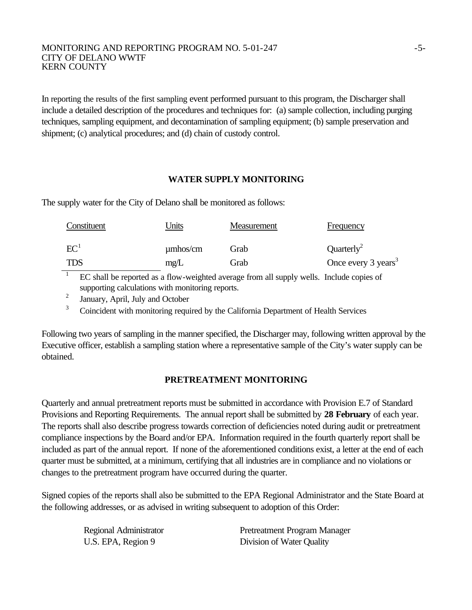In reporting the results of the first sampling event performed pursuant to this program, the Discharger shall include a detailed description of the procedures and techniques for: (a) sample collection, including purging techniques, sampling equipment, and decontamination of sampling equipment; (b) sample preservation and shipment; (c) analytical procedures; and (d) chain of custody control.

### **WATER SUPPLY MONITORING**

The supply water for the City of Delano shall be monitored as follows:

| Constituent     | Jnits         | Measurement | Frequency                       |
|-----------------|---------------|-------------|---------------------------------|
| EC <sup>1</sup> | $\mu$ mhos/cm | Grab        | Quarterly <sup>2</sup>          |
| <b>TDS</b>      | mg/L          | Grab        | Once every 3 years <sup>3</sup> |

1 EC shall be reported as a flow-weighted average from all supply wells. Include copies of supporting calculations with monitoring reports.

2 January, April, July and October

<sup>3</sup> Coincident with monitoring required by the California Department of Health Services

Following two years of sampling in the manner specified, the Discharger may, following written approval by the Executive officer, establish a sampling station where a representative sample of the City's water supply can be obtained.

# **PRETREATMENT MONITORING**

Quarterly and annual pretreatment reports must be submitted in accordance with Provision E.7 of Standard Provisions and Reporting Requirements. The annual report shall be submitted by **28 February** of each year. The reports shall also describe progress towards correction of deficiencies noted during audit or pretreatment compliance inspections by the Board and/or EPA. Information required in the fourth quarterly report shall be included as part of the annual report. If none of the aforementioned conditions exist, a letter at the end of each quarter must be submitted, at a minimum, certifying that all industries are in compliance and no violations or changes to the pretreatment program have occurred during the quarter.

Signed copies of the reports shall also be submitted to the EPA Regional Administrator and the State Board at the following addresses, or as advised in writing subsequent to adoption of this Order:

> Regional Administrator U.S. EPA, Region 9

Pretreatment Program Manager Division of Water Quality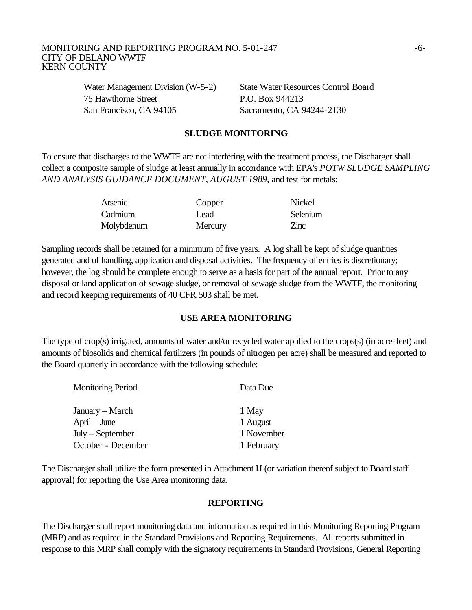Water Management Division (W-5-2) 75 Hawthorne Street San Francisco, CA 94105

State Water Resources Control Board P.O. Box 944213 Sacramento, CA 94244-2130

### **SLUDGE MONITORING**

To ensure that discharges to the WWTF are not interfering with the treatment process, the Discharger shall collect a composite sample of sludge at least annually in accordance with EPA's *POTW SLUDGE SAMPLING AND ANALYSIS GUIDANCE DOCUMENT, AUGUST 1989,* and test for metals:

| Arsenic    | Copper  | Nickel      |
|------------|---------|-------------|
| Cadmium    | Lead    | Selenium    |
| Molybdenum | Mercury | <b>Zinc</b> |

Sampling records shall be retained for a minimum of five years. A log shall be kept of sludge quantities generated and of handling, application and disposal activities. The frequency of entries is discretionary; however, the log should be complete enough to serve as a basis for part of the annual report. Prior to any disposal or land application of sewage sludge, or removal of sewage sludge from the WWTF, the monitoring and record keeping requirements of 40 CFR 503 shall be met.

### **USE AREA MONITORING**

The type of crop(s) irrigated, amounts of water and/or recycled water applied to the crops(s) (in acre-feet) and amounts of biosolids and chemical fertilizers (in pounds of nitrogen per acre) shall be measured and reported to the Board quarterly in accordance with the following schedule:

| <b>Monitoring Period</b> | Data Due   |
|--------------------------|------------|
| January – March          | 1 May      |
| $April - June$           | 1 August   |
| $July - September$       | 1 November |
| October - December       | 1 February |

The Discharger shall utilize the form presented in Attachment H (or variation thereof subject to Board staff approval) for reporting the Use Area monitoring data.

### **REPORTING**

The Discharger shall report monitoring data and information as required in this Monitoring Reporting Program (MRP) and as required in the Standard Provisions and Reporting Requirements. All reports submitted in response to this MRP shall comply with the signatory requirements in Standard Provisions, General Reporting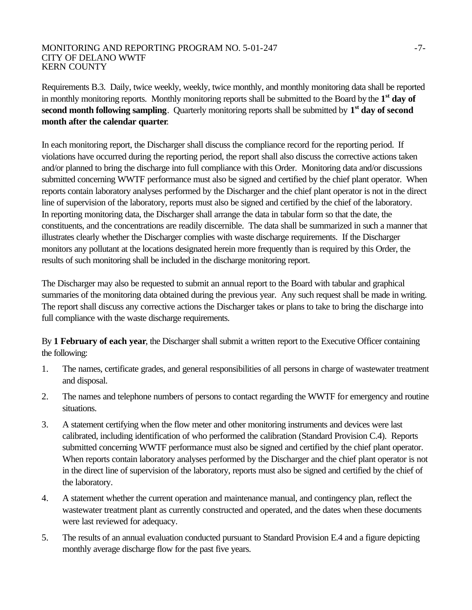Requirements B.3. Daily, twice weekly, weekly, twice monthly, and monthly monitoring data shall be reported in monthly monitoring reports. Monthly monitoring reports shall be submitted to the Board by the 1<sup>st</sup> day of **second month following sampling**. Quarterly monitoring reports shall be submitted by **1 st day of second month after the calendar quarter**.

In each monitoring report, the Discharger shall discuss the compliance record for the reporting period. If violations have occurred during the reporting period, the report shall also discuss the corrective actions taken and/or planned to bring the discharge into full compliance with this Order. Monitoring data and/or discussions submitted concerning WWTF performance must also be signed and certified by the chief plant operator. When reports contain laboratory analyses performed by the Discharger and the chief plant operator is not in the direct line of supervision of the laboratory, reports must also be signed and certified by the chief of the laboratory. In reporting monitoring data, the Discharger shall arrange the data in tabular form so that the date, the constituents, and the concentrations are readily discernible. The data shall be summarized in such a manner that illustrates clearly whether the Discharger complies with waste discharge requirements. If the Discharger monitors any pollutant at the locations designated herein more frequently than is required by this Order, the results of such monitoring shall be included in the discharge monitoring report.

The Discharger may also be requested to submit an annual report to the Board with tabular and graphical summaries of the monitoring data obtained during the previous year. Any such request shall be made in writing. The report shall discuss any corrective actions the Discharger takes or plans to take to bring the discharge into full compliance with the waste discharge requirements.

By **1 February of each year**, the Discharger shall submit a written report to the Executive Officer containing the following:

- 1. The names, certificate grades, and general responsibilities of all persons in charge of wastewater treatment and disposal.
- 2. The names and telephone numbers of persons to contact regarding the WWTF for emergency and routine situations.
- 3. A statement certifying when the flow meter and other monitoring instruments and devices were last calibrated, including identification of who performed the calibration (Standard Provision C.4). Reports submitted concerning WWTF performance must also be signed and certified by the chief plant operator. When reports contain laboratory analyses performed by the Discharger and the chief plant operator is not in the direct line of supervision of the laboratory, reports must also be signed and certified by the chief of the laboratory.
- 4. A statement whether the current operation and maintenance manual, and contingency plan, reflect the wastewater treatment plant as currently constructed and operated, and the dates when these documents were last reviewed for adequacy.
- 5. The results of an annual evaluation conducted pursuant to Standard Provision E.4 and a figure depicting monthly average discharge flow for the past five years.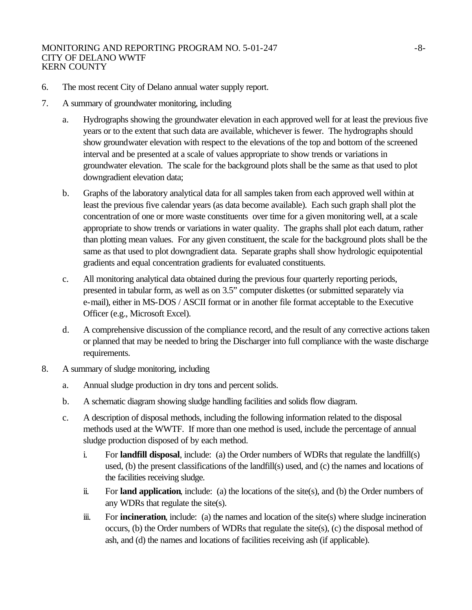- 6. The most recent City of Delano annual water supply report.
- 7. A summary of groundwater monitoring, including
	- a. Hydrographs showing the groundwater elevation in each approved well for at least the previous five years or to the extent that such data are available, whichever is fewer. The hydrographs should show groundwater elevation with respect to the elevations of the top and bottom of the screened interval and be presented at a scale of values appropriate to show trends or variations in groundwater elevation. The scale for the background plots shall be the same as that used to plot downgradient elevation data;
	- b. Graphs of the laboratory analytical data for all samples taken from each approved well within at least the previous five calendar years (as data become available). Each such graph shall plot the concentration of one or more waste constituents over time for a given monitoring well, at a scale appropriate to show trends or variations in water quality. The graphs shall plot each datum, rather than plotting mean values. For any given constituent, the scale for the background plots shall be the same as that used to plot downgradient data. Separate graphs shall show hydrologic equipotential gradients and equal concentration gradients for evaluated constituents.
	- c. All monitoring analytical data obtained during the previous four quarterly reporting periods, presented in tabular form, as well as on 3.5" computer diskettes (or submitted separately via e-mail), either in MS-DOS / ASCII format or in another file format acceptable to the Executive Officer (e.g., Microsoft Excel).
	- d. A comprehensive discussion of the compliance record, and the result of any corrective actions taken or planned that may be needed to bring the Discharger into full compliance with the waste discharge requirements.
- 8. A summary of sludge monitoring, including
	- a. Annual sludge production in dry tons and percent solids.
	- b. A schematic diagram showing sludge handling facilities and solids flow diagram.
	- c. A description of disposal methods, including the following information related to the disposal methods used at the WWTF. If more than one method is used, include the percentage of annual sludge production disposed of by each method.
		- i. For **landfill disposal**, include: (a) the Order numbers of WDRs that regulate the landfill(s) used, (b) the present classifications of the landfill(s) used, and (c) the names and locations of the facilities receiving sludge.
		- ii. For **land application**, include: (a) the locations of the site(s), and (b) the Order numbers of any WDRs that regulate the site(s).
		- iii. For **incineration**, include: (a) the names and location of the site(s) where sludge incineration occurs, (b) the Order numbers of WDRs that regulate the site(s), (c) the disposal method of ash, and (d) the names and locations of facilities receiving ash (if applicable).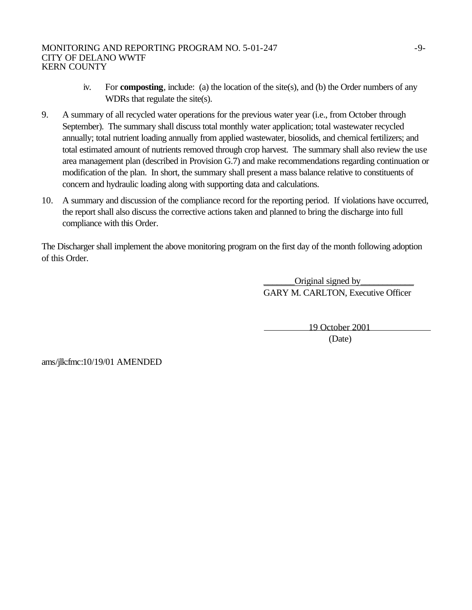- iv. For **composting**, include: (a) the location of the site(s), and (b) the Order numbers of any WDRs that regulate the site(s).
- 9. A summary of all recycled water operations for the previous water year (i.e., from October through September). The summary shall discuss total monthly water application; total wastewater recycled annually; total nutrient loading annually from applied wastewater, biosolids, and chemical fertilizers; and total estimated amount of nutrients removed through crop harvest. The summary shall also review the use area management plan (described in Provision G.7) and make recommendations regarding continuation or modification of the plan. In short, the summary shall present a mass balance relative to constituents of concern and hydraulic loading along with supporting data and calculations.
- 10. A summary and discussion of the compliance record for the reporting period. If violations have occurred, the report shall also discuss the corrective actions taken and planned to bring the discharge into full compliance with this Order.

The Discharger shall implement the above monitoring program on the first day of the month following adoption of this Order.

> Original signed by GARY M. CARLTON, Executive Officer

> > 19 October 2001

(Date)

ams/jlk:fmc:10/19/01 AMENDED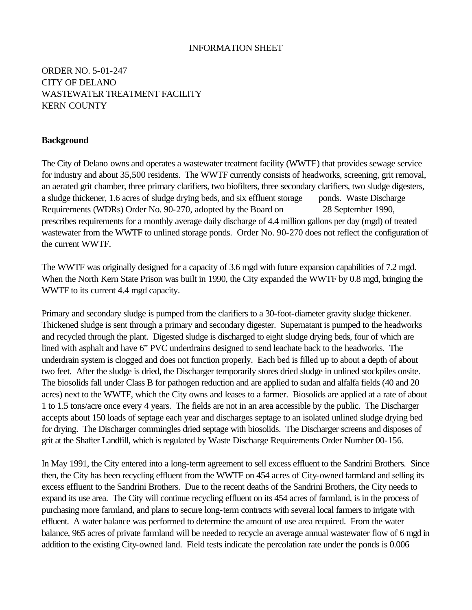### INFORMATION SHEET

ORDER NO. 5-01-247 CITY OF DELANO WASTEWATER TREATMENT FACILITY KERN COUNTY

### **Background**

The City of Delano owns and operates a wastewater treatment facility (WWTF) that provides sewage service for industry and about 35,500 residents. The WWTF currently consists of headworks, screening, grit removal, an aerated grit chamber, three primary clarifiers, two biofilters, three secondary clarifiers, two sludge digesters, a sludge thickener, 1.6 acres of sludge drying beds, and six effluent storage ponds. Waste Discharge Requirements (WDRs) Order No. 90-270, adopted by the Board on 28 September 1990, prescribes requirements for a monthly average daily discharge of 4.4 million gallons per day (mgd) of treated wastewater from the WWTF to unlined storage ponds. Order No. 90-270 does not reflect the configuration of the current WWTF.

The WWTF was originally designed for a capacity of 3.6 mgd with future expansion capabilities of 7.2 mgd. When the North Kern State Prison was built in 1990, the City expanded the WWTF by 0.8 mgd, bringing the WWTF to its current 4.4 mgd capacity.

Primary and secondary sludge is pumped from the clarifiers to a 30-foot-diameter gravity sludge thickener. Thickened sludge is sent through a primary and secondary digester. Supernatant is pumped to the headworks and recycled through the plant. Digested sludge is discharged to eight sludge drying beds, four of which are lined with asphalt and have 6" PVC underdrains designed to send leachate back to the headworks. The underdrain system is clogged and does not function properly. Each bed is filled up to about a depth of about two feet. After the sludge is dried, the Discharger temporarily stores dried sludge in unlined stockpiles onsite. The biosolids fall under Class B for pathogen reduction and are applied to sudan and alfalfa fields (40 and 20 acres) next to the WWTF, which the City owns and leases to a farmer. Biosolids are applied at a rate of about 1 to 1.5 tons/acre once every 4 years. The fields are not in an area accessible by the public. The Discharger accepts about 150 loads of septage each year and discharges septage to an isolated unlined sludge drying bed for drying. The Discharger commingles dried septage with biosolids. The Discharger screens and disposes of grit at the Shafter Landfill, which is regulated by Waste Discharge Requirements Order Number 00-156.

In May 1991, the City entered into a long-term agreement to sell excess effluent to the Sandrini Brothers. Since then, the City has been recycling effluent from the WWTF on 454 acres of City-owned farmland and selling its excess effluent to the Sandrini Brothers. Due to the recent deaths of the Sandrini Brothers, the City needs to expand its use area. The City will continue recycling effluent on its 454 acres of farmland, is in the process of purchasing more farmland, and plans to secure long-term contracts with several local farmers to irrigate with effluent. A water balance was performed to determine the amount of use area required. From the water balance, 965 acres of private farmland will be needed to recycle an average annual wastewater flow of 6 mgd in addition to the existing City-owned land. Field tests indicate the percolation rate under the ponds is 0.006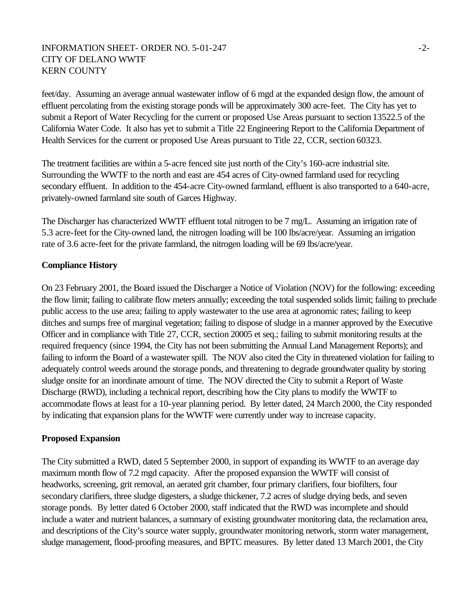feet/day. Assuming an average annual wastewater inflow of 6 mgd at the expanded design flow, the amount of effluent percolating from the existing storage ponds will be approximately 300 acre-feet. The City has yet to submit a Report of Water Recycling for the current or proposed Use Areas pursuant to section 13522.5 of the California Water Code. It also has yet to submit a Title 22 Engineering Report to the California Department of Health Services for the current or proposed Use Areas pursuant to Title 22, CCR, section 60323.

The treatment facilities are within a 5-acre fenced site just north of the City's 160-acre industrial site. Surrounding the WWTF to the north and east are 454 acres of City-owned farmland used for recycling secondary effluent. In addition to the 454-acre City-owned farmland, effluent is also transported to a 640-acre, privately-owned farmland site south of Garces Highway.

The Discharger has characterized WWTF effluent total nitrogen to be 7 mg/L. Assuming an irrigation rate of 5.3 acre-feet for the City-owned land, the nitrogen loading will be 100 lbs/acre/year. Assuming an irrigation rate of 3.6 acre-feet for the private farmland, the nitrogen loading will be 69 lbs/acre/year.

### **Compliance History**

On 23 February 2001, the Board issued the Discharger a Notice of Violation (NOV) for the following: exceeding the flow limit; failing to calibrate flow meters annually; exceeding the total suspended solids limit; failing to preclude public access to the use area; failing to apply wastewater to the use area at agronomic rates; failing to keep ditches and sumps free of marginal vegetation; failing to dispose of sludge in a manner approved by the Executive Officer and in compliance with Title 27, CCR, section 20005 et seq.; failing to submit monitoring results at the required frequency (since 1994, the City has not been submitting the Annual Land Management Reports); and failing to inform the Board of a wastewater spill. The NOV also cited the City in threatened violation for failing to adequately control weeds around the storage ponds, and threatening to degrade groundwater quality by storing sludge onsite for an inordinate amount of time. The NOV directed the City to submit a Report of Waste Discharge (RWD), including a technical report, describing how the City plans to modify the WWTF to accommodate flows at least for a 10-year planning period. By letter dated, 24 March 2000, the City responded by indicating that expansion plans for the WWTF were currently under way to increase capacity.

### **Proposed Expansion**

The City submitted a RWD, dated 5 September 2000, in support of expanding its WWTF to an average day maximum month flow of 7.2 mgd capacity. After the proposed expansion the WWTF will consist of headworks, screening, grit removal, an aerated grit chamber, four primary clarifiers, four biofilters, four secondary clarifiers, three sludge digesters, a sludge thickener, 7.2 acres of sludge drying beds, and seven storage ponds. By letter dated 6 October 2000, staff indicated that the RWD was incomplete and should include a water and nutrient balances, a summary of existing groundwater monitoring data, the reclamation area, and descriptions of the City's source water supply, groundwater monitoring network, storm water management, sludge management, flood-proofing measures, and BPTC measures. By letter dated 13 March 2001, the City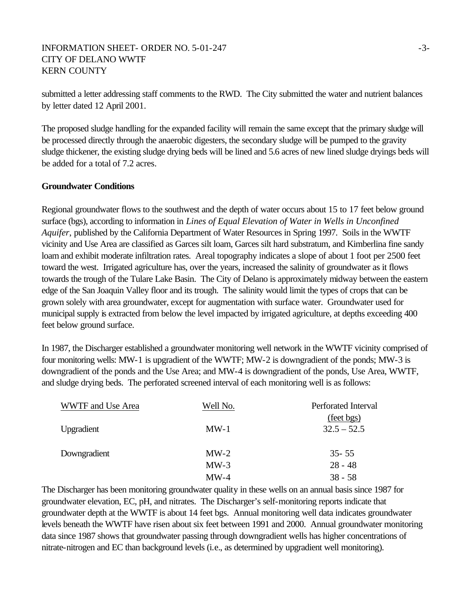submitted a letter addressing staff comments to the RWD. The City submitted the water and nutrient balances by letter dated 12 April 2001.

The proposed sludge handling for the expanded facility will remain the same except that the primary sludge will be processed directly through the anaerobic digesters, the secondary sludge will be pumped to the gravity sludge thickener, the existing sludge drying beds will be lined and 5.6 acres of new lined sludge dryings beds will be added for a total of 7.2 acres.

### **Groundwater Conditions**

Regional groundwater flows to the southwest and the depth of water occurs about 15 to 17 feet below ground surface (bgs), according to information in *Lines of Equal Elevation of Water in Wells in Unconfined Aquifer*, published by the California Department of Water Resources in Spring 1997. Soils in the WWTF vicinity and Use Area are classified as Garces silt loam, Garces silt hard substratum, and Kimberlina fine sandy loam and exhibit moderate infiltration rates. Areal topography indicates a slope of about 1 foot per 2500 feet toward the west. Irrigated agriculture has, over the years, increased the salinity of groundwater as it flows towards the trough of the Tulare Lake Basin. The City of Delano is approximately midway between the eastern edge of the San Joaquin Valley floor and its trough. The salinity would limit the types of crops that can be grown solely with area groundwater, except for augmentation with surface water. Groundwater used for municipal supply is extracted from below the level impacted by irrigated agriculture, at depths exceeding 400 feet below ground surface.

In 1987, the Discharger established a groundwater monitoring well network in the WWTF vicinity comprised of four monitoring wells: MW-1 is upgradient of the WWTF; MW-2 is downgradient of the ponds; MW-3 is downgradient of the ponds and the Use Area; and MW-4 is downgradient of the ponds, Use Area, WWTF, and sludge drying beds. The perforated screened interval of each monitoring well is as follows:

| <b>WWTF</b> and Use Area | Well No. | Perforated Interval<br>(feet bgs) |
|--------------------------|----------|-----------------------------------|
| Upgradient               | $MW-1$   | $32.5 - 52.5$                     |
| Downgradient             | $MW-2$   | $35 - 55$                         |
|                          | $MW-3$   | $28 - 48$                         |
|                          | $MW-4$   | $38 - 58$                         |

The Discharger has been monitoring groundwater quality in these wells on an annual basis since 1987 for groundwater elevation, EC, pH, and nitrates. The Discharger's self-monitoring reports indicate that groundwater depth at the WWTF is about 14 feet bgs. Annual monitoring well data indicates groundwater levels beneath the WWTF have risen about six feet between 1991 and 2000. Annual groundwater monitoring data since 1987 shows that groundwater passing through downgradient wells has higher concentrations of nitrate-nitrogen and EC than background levels (i.e., as determined by upgradient well monitoring).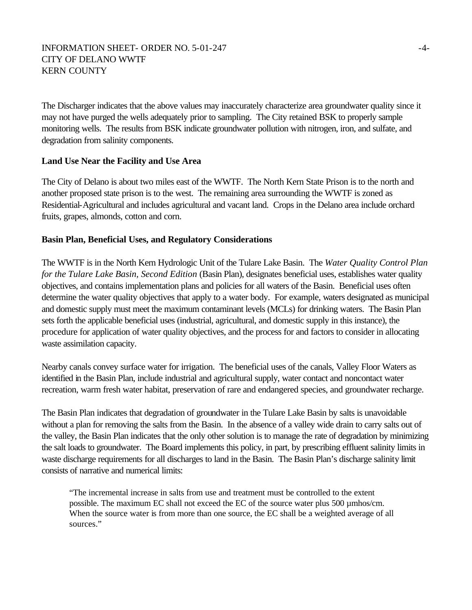The Discharger indicates that the above values may inaccurately characterize area groundwater quality since it may not have purged the wells adequately prior to sampling. The City retained BSK to properly sample monitoring wells. The results from BSK indicate groundwater pollution with nitrogen, iron, and sulfate, and degradation from salinity components.

### **Land Use Near the Facility and Use Area**

The City of Delano is about two miles east of the WWTF. The North Kern State Prison is to the north and another proposed state prison is to the west. The remaining area surrounding the WWTF is zoned as Residential-Agricultural and includes agricultural and vacant land. Crops in the Delano area include orchard fruits, grapes, almonds, cotton and corn.

### **Basin Plan, Beneficial Uses, and Regulatory Considerations**

The WWTF is in the North Kern Hydrologic Unit of the Tulare Lake Basin. The *Water Quality Control Plan for the Tulare Lake Basin, Second Edition* (Basin Plan), designates beneficial uses, establishes water quality objectives, and contains implementation plans and policies for all waters of the Basin. Beneficial uses often determine the water quality objectives that apply to a water body. For example, waters designated as municipal and domestic supply must meet the maximum contaminant levels (MCLs) for drinking waters. The Basin Plan sets forth the applicable beneficial uses (industrial, agricultural, and domestic supply in this instance), the procedure for application of water quality objectives, and the process for and factors to consider in allocating waste assimilation capacity.

Nearby canals convey surface water for irrigation. The beneficial uses of the canals, Valley Floor Waters as identified in the Basin Plan, include industrial and agricultural supply, water contact and noncontact water recreation, warm fresh water habitat, preservation of rare and endangered species, and groundwater recharge.

The Basin Plan indicates that degradation of groundwater in the Tulare Lake Basin by salts is unavoidable without a plan for removing the salts from the Basin. In the absence of a valley wide drain to carry salts out of the valley, the Basin Plan indicates that the only other solution is to manage the rate of degradation by minimizing the salt loads to groundwater. The Board implements this policy, in part, by prescribing effluent salinity limits in waste discharge requirements for all discharges to land in the Basin. The Basin Plan's discharge salinity limit consists of narrative and numerical limits:

"The incremental increase in salts from use and treatment must be controlled to the extent possible. The maximum EC shall not exceed the EC of the source water plus 500 µmhos/cm. When the source water is from more than one source, the EC shall be a weighted average of all sources."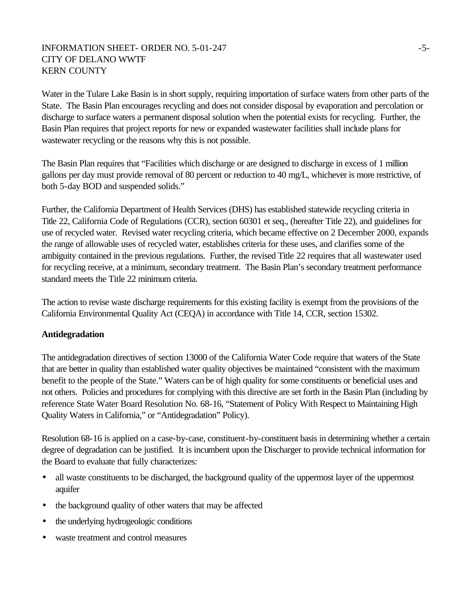Water in the Tulare Lake Basin is in short supply, requiring importation of surface waters from other parts of the State. The Basin Plan encourages recycling and does not consider disposal by evaporation and percolation or discharge to surface waters a permanent disposal solution when the potential exists for recycling. Further, the Basin Plan requires that project reports for new or expanded wastewater facilities shall include plans for wastewater recycling or the reasons why this is not possible.

The Basin Plan requires that "Facilities which discharge or are designed to discharge in excess of 1 million gallons per day must provide removal of 80 percent or reduction to 40 mg/L, whichever is more restrictive, of both 5-day BOD and suspended solids."

Further, the California Department of Health Services (DHS) has established statewide recycling criteria in Title 22, California Code of Regulations (CCR), section 60301 et seq., (hereafter Title 22), and guidelines for use of recycled water. Revised water recycling criteria, which became effective on 2 December 2000, expands the range of allowable uses of recycled water, establishes criteria for these uses, and clarifies some of the ambiguity contained in the previous regulations. Further, the revised Title 22 requires that all wastewater used for recycling receive, at a minimum, secondary treatment. The Basin Plan's secondary treatment performance standard meets the Title 22 minimum criteria.

The action to revise waste discharge requirements for this existing facility is exempt from the provisions of the California Environmental Quality Act (CEQA) in accordance with Title 14, CCR, section 15302.

# **Antidegradation**

The antidegradation directives of section 13000 of the California Water Code require that waters of the State that are better in quality than established water quality objectives be maintained "consistent with the maximum benefit to the people of the State." Waters can be of high quality for some constituents or beneficial uses and not others. Policies and procedures for complying with this directive are set forth in the Basin Plan (including by reference State Water Board Resolution No. 68-16, "Statement of Policy With Respect to Maintaining High Quality Waters in California," or "Antidegradation" Policy).

Resolution 68-16 is applied on a case-by-case, constituent-by-constituent basis in determining whether a certain degree of degradation can be justified. It is incumbent upon the Discharger to provide technical information for the Board to evaluate that fully characterizes:

- all waste constituents to be discharged, the background quality of the uppermost layer of the uppermost aquifer
- the background quality of other waters that may be affected
- the underlying hydrogeologic conditions
- waste treatment and control measures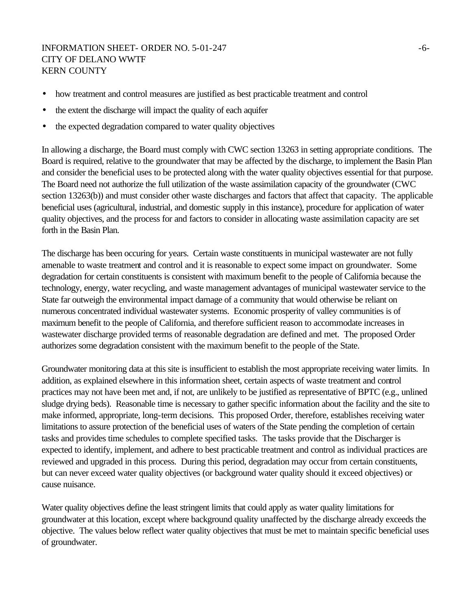- how treatment and control measures are justified as best practicable treatment and control
- the extent the discharge will impact the quality of each aquifer
- the expected degradation compared to water quality objectives

In allowing a discharge, the Board must comply with CWC section 13263 in setting appropriate conditions. The Board is required, relative to the groundwater that may be affected by the discharge, to implement the Basin Plan and consider the beneficial uses to be protected along with the water quality objectives essential for that purpose. The Board need not authorize the full utilization of the waste assimilation capacity of the groundwater (CWC section 13263(b)) and must consider other waste discharges and factors that affect that capacity. The applicable beneficial uses (agricultural, industrial, and domestic supply in this instance), procedure for application of water quality objectives, and the process for and factors to consider in allocating waste assimilation capacity are set forth in the Basin Plan.

The discharge has been occuring for years. Certain waste constituents in municipal wastewater are not fully amenable to waste treatment and control and it is reasonable to expect some impact on groundwater. Some degradation for certain constituents is consistent with maximum benefit to the people of California because the technology, energy, water recycling, and waste management advantages of municipal wastewater service to the State far outweigh the environmental impact damage of a community that would otherwise be reliant on numerous concentrated individual wastewater systems. Economic prosperity of valley communities is of maximum benefit to the people of California, and therefore sufficient reason to accommodate increases in wastewater discharge provided terms of reasonable degradation are defined and met. The proposed Order authorizes some degradation consistent with the maximum benefit to the people of the State.

Groundwater monitoring data at this site is insufficient to establish the most appropriate receiving water limits. In addition, as explained elsewhere in this information sheet, certain aspects of waste treatment and control practices may not have been met and, if not, are unlikely to be justified as representative of BPTC (e.g., unlined sludge drying beds). Reasonable time is necessary to gather specific information about the facility and the site to make informed, appropriate, long-term decisions. This proposed Order, therefore, establishes receiving water limitations to assure protection of the beneficial uses of waters of the State pending the completion of certain tasks and provides time schedules to complete specified tasks. The tasks provide that the Discharger is expected to identify, implement, and adhere to best practicable treatment and control as individual practices are reviewed and upgraded in this process. During this period, degradation may occur from certain constituents, but can never exceed water quality objectives (or background water quality should it exceed objectives) or cause nuisance.

Water quality objectives define the least stringent limits that could apply as water quality limitations for groundwater at this location, except where background quality unaffected by the discharge already exceeds the objective. The values below reflect water quality objectives that must be met to maintain specific beneficial uses of groundwater.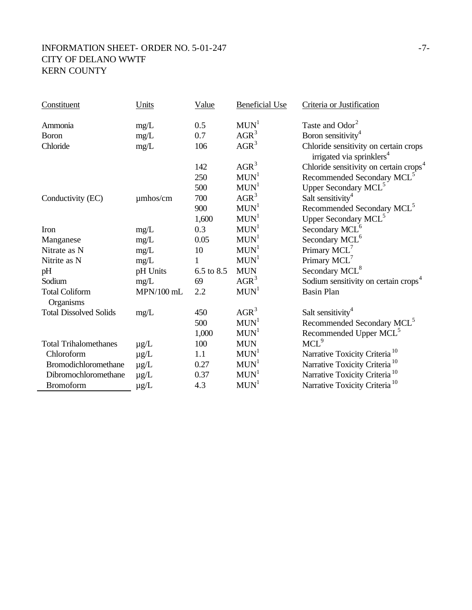| Constituent                        | Units         | Value      | <b>Beneficial Use</b> | Criteria or Justification                                                      |
|------------------------------------|---------------|------------|-----------------------|--------------------------------------------------------------------------------|
| Ammonia                            | mg/L          | 0.5        | MUN <sup>1</sup>      | Taste and Odor <sup>2</sup>                                                    |
| <b>Boron</b>                       | mg/L          | 0.7        | $AGR^3$               | Boron sensitivity <sup>4</sup>                                                 |
| Chloride                           | mg/L          | 106        | $AGR^3$               | Chloride sensitivity on certain crops<br>irrigated via sprinklers <sup>4</sup> |
|                                    |               | 142        | $AGR^3$               | Chloride sensitivity on certain crops <sup>4</sup>                             |
|                                    |               | 250        | MUN <sup>1</sup>      | Recommended Secondary MCL <sup>5</sup>                                         |
|                                    |               | 500        | MUN <sup>1</sup>      | Upper Secondary MCL <sup>5</sup>                                               |
| Conductivity (EC)                  | $\mu$ mhos/cm | 700        | $AGR^3$               | Salt sensitivity <sup>4</sup>                                                  |
|                                    |               | 900        | MUN <sup>1</sup>      | Recommended Secondary MCL <sup>5</sup>                                         |
|                                    |               | 1,600      | MUN <sup>1</sup>      | Upper Secondary MCL <sup>5</sup>                                               |
| Iron                               | mg/L          | 0.3        | MUN <sup>1</sup>      | Secondary MCL <sup>6</sup>                                                     |
| Manganese                          | mg/L          | 0.05       | MUN <sup>1</sup>      | Secondary MCL <sup>6</sup>                                                     |
| Nitrate as N                       | mg/L          | 10         | MUN <sup>1</sup>      | Primary MCL <sup>7</sup>                                                       |
| Nitrite as N                       | mg/L          | 1          | MUN <sup>1</sup>      | Primary $MCL$ <sup>7</sup>                                                     |
| pH                                 | pH Units      | 6.5 to 8.5 | <b>MUN</b>            | Secondary MCL <sup>8</sup>                                                     |
| Sodium                             | mg/L          | 69         | $AGR^3$               | Sodium sensitivity on certain crops <sup>4</sup>                               |
| <b>Total Coliform</b><br>Organisms | $MPN/100$ mL  | 2.2        | MUN <sup>1</sup>      | <b>Basin Plan</b>                                                              |
| <b>Total Dissolved Solids</b>      | mg/L          | 450        | $AGR^3$               | Salt sensitivity <sup>4</sup>                                                  |
|                                    |               | 500        | MUN <sup>1</sup>      | Recommended Secondary MCL <sup>5</sup>                                         |
|                                    |               | 1,000      | MUN <sup>1</sup>      | Recommended Upper MCL <sup>5</sup>                                             |
| <b>Total Trihalomethanes</b>       | $\mu$ g/L     | 100        | <b>MUN</b>            | MCL <sup>9</sup>                                                               |
| Chloroform                         | $\mu$ g/L     | 1.1        | MUN <sup>1</sup>      | Narrative Toxicity Criteria <sup>10</sup>                                      |
| Bromodichloromethane               | $\mu$ g/L     | 0.27       | MUN <sup>1</sup>      | Narrative Toxicity Criteria <sup>10</sup>                                      |
| Dibromochloromethane               | $\mu$ g/L     | 0.37       | MUN <sup>1</sup>      | Narrative Toxicity Criteria <sup>10</sup>                                      |
| <b>Bromoform</b>                   | $\mu$ g/L     | 4.3        | MUN <sup>1</sup>      | Narrative Toxicity Criteria <sup>10</sup>                                      |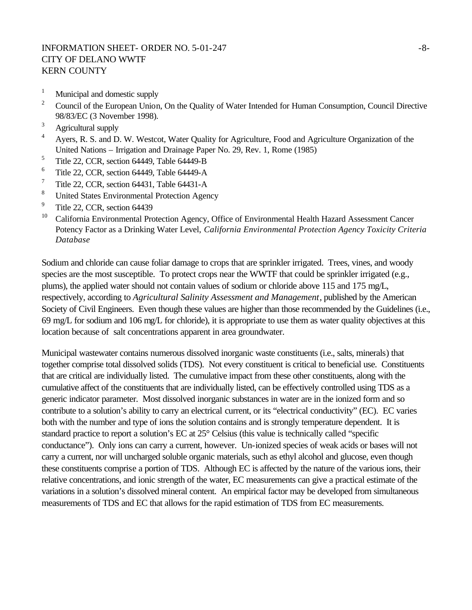- <sup>1</sup> Municipal and domestic supply<br> $\frac{1}{2}$   $\frac{1}{2}$   $\frac{1}{2}$   $\frac{1}{2}$   $\frac{1}{2}$   $\frac{1}{2}$   $\frac{1}{2}$   $\frac{1}{2}$   $\frac{1}{2}$   $\frac{1}{2}$   $\frac{1}{2}$   $\frac{1}{2}$   $\frac{1}{2}$   $\frac{1}{2}$   $\frac{1}{2}$   $\frac{1}{2}$   $\frac{1}{2}$   $\frac{1}{2}$   $\frac{1}{2$
- <sup>2</sup> Council of the European Union, On the Quality of Water Intended for Human Consumption, Council Directive 98/83/EC (3 November 1998).
- $\frac{3}{4}$  Agricultural supply
- Ayers, R. S. and D. W. Westcot, Water Quality for Agriculture, Food and Agriculture Organization of the United Nations – Irrigation and Drainage Paper No. 29, Rev. 1, Rome (1985)
- 5 Title 22, CCR, section 64449, Table 64449-B
- 6 Title 22, CCR, section 64449, Table 64449-A
- 7 Title 22, CCR, section 64431, Table 64431-A
- <sup>8</sup> United States Environmental Protection Agency
- 9 Title 22, CCR, section 64439
- <sup>10</sup> California Environmental Protection Agency, Office of Environmental Health Hazard Assessment Cancer Potency Factor as a Drinking Water Level, *California Environmental Protection Agency Toxicity Criteria Database*

Sodium and chloride can cause foliar damage to crops that are sprinkler irrigated. Trees, vines, and woody species are the most susceptible. To protect crops near the WWTF that could be sprinkler irrigated (e.g., plums), the applied water should not contain values of sodium or chloride above 115 and 175 mg/L, respectively, according to *Agricultural Salinity Assessment and Management*, published by the American Society of Civil Engineers. Even though these values are higher than those recommended by the Guidelines (i.e., 69 mg/L for sodium and 106 mg/L for chloride), it is appropriate to use them as water quality objectives at this location because of salt concentrations apparent in area groundwater.

Municipal wastewater contains numerous dissolved inorganic waste constituents (i.e., salts, minerals) that together comprise total dissolved solids (TDS). Not every constituent is critical to beneficial use. Constituents that are critical are individually listed. The cumulative impact from these other constituents, along with the cumulative affect of the constituents that are individually listed, can be effectively controlled using TDS as a generic indicator parameter. Most dissolved inorganic substances in water are in the ionized form and so contribute to a solution's ability to carry an electrical current, or its "electrical conductivity" (EC). EC varies both with the number and type of ions the solution contains and is strongly temperature dependent. It is standard practice to report a solution's EC at 25° Celsius (this value is technically called "specific conductance"). Only ions can carry a current, however. Un-ionized species of weak acids or bases will not carry a current, nor will uncharged soluble organic materials, such as ethyl alcohol and glucose, even though these constituents comprise a portion of TDS. Although EC is affected by the nature of the various ions, their relative concentrations, and ionic strength of the water, EC measurements can give a practical estimate of the variations in a solution's dissolved mineral content. An empirical factor may be developed from simultaneous measurements of TDS and EC that allows for the rapid estimation of TDS from EC measurements.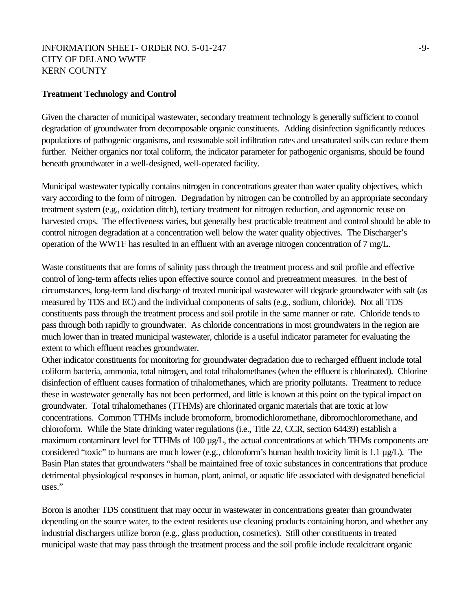### **Treatment Technology and Control**

Given the character of municipal wastewater, secondary treatment technology is generally sufficient to control degradation of groundwater from decomposable organic constituents. Adding disinfection significantly reduces populations of pathogenic organisms, and reasonable soil infiltration rates and unsaturated soils can reduce them further. Neither organics nor total coliform, the indicator parameter for pathogenic organisms, should be found beneath groundwater in a well-designed, well-operated facility.

Municipal wastewater typically contains nitrogen in concentrations greater than water quality objectives, which vary according to the form of nitrogen. Degradation by nitrogen can be controlled by an appropriate secondary treatment system (e.g., oxidation ditch), tertiary treatment for nitrogen reduction, and agronomic reuse on harvested crops. The effectiveness varies, but generally best practicable treatment and control should be able to control nitrogen degradation at a concentration well below the water quality objectives. The Discharger's operation of the WWTF has resulted in an effluent with an average nitrogen concentration of 7 mg/L.

Waste constituents that are forms of salinity pass through the treatment process and soil profile and effective control of long-term affects relies upon effective source control and pretreatment measures. In the best of circumstances, long-term land discharge of treated municipal wastewater will degrade groundwater with salt (as measured by TDS and EC) and the individual components of salts (e.g., sodium, chloride). Not all TDS constituents pass through the treatment process and soil profile in the same manner or rate. Chloride tends to pass through both rapidly to groundwater. As chloride concentrations in most groundwaters in the region are much lower than in treated municipal wastewater, chloride is a useful indicator parameter for evaluating the extent to which effluent reaches groundwater.

Other indicator constituents for monitoring for groundwater degradation due to recharged effluent include total coliform bacteria, ammonia, total nitrogen, and total trihalomethanes (when the effluent is chlorinated). Chlorine disinfection of effluent causes formation of trihalomethanes, which are priority pollutants. Treatment to reduce these in wastewater generally has not been performed, and little is known at this point on the typical impact on groundwater. Total trihalomethanes (TTHMs) are chlorinated organic materials that are toxic at low concentrations. Common TTHMs include bromoform, bromodichloromethane, dibromochloromethane, and chloroform. While the State drinking water regulations (i.e., Title 22, CCR, section 64439) establish a maximum contaminant level for TTHMs of 100  $\mu$ g/L, the actual concentrations at which THMs components are considered "toxic" to humans are much lower (e.g., chloroform's human health toxicity limit is 1.1 µg/L). The Basin Plan states that groundwaters "shall be maintained free of toxic substances in concentrations that produce detrimental physiological responses in human, plant, animal, or aquatic life associated with designated beneficial uses."

Boron is another TDS constituent that may occur in wastewater in concentrations greater than groundwater depending on the source water, to the extent residents use cleaning products containing boron, and whether any industrial dischargers utilize boron (e.g., glass production, cosmetics). Still other constituents in treated municipal waste that may pass through the treatment process and the soil profile include recalcitrant organic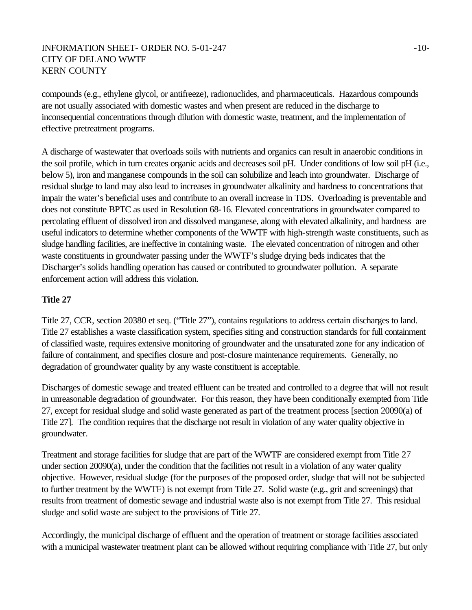compounds (e.g., ethylene glycol, or antifreeze), radionuclides, and pharmaceuticals. Hazardous compounds are not usually associated with domestic wastes and when present are reduced in the discharge to inconsequential concentrations through dilution with domestic waste, treatment, and the implementation of effective pretreatment programs.

A discharge of wastewater that overloads soils with nutrients and organics can result in anaerobic conditions in the soil profile, which in turn creates organic acids and decreases soil pH. Under conditions of low soil pH (i.e., below 5), iron and manganese compounds in the soil can solubilize and leach into groundwater. Discharge of residual sludge to land may also lead to increases in groundwater alkalinity and hardness to concentrations that impair the water's beneficial uses and contribute to an overall increase in TDS. Overloading is preventable and does not constitute BPTC as used in Resolution 68-16. Elevated concentrations in groundwater compared to percolating effluent of dissolved iron and dissolved manganese, along with elevated alkalinity, and hardness are useful indicators to determine whether components of the WWTF with high-strength waste constituents, such as sludge handling facilities, are ineffective in containing waste. The elevated concentration of nitrogen and other waste constituents in groundwater passing under the WWTF's sludge drying beds indicates that the Discharger's solids handling operation has caused or contributed to groundwater pollution. A separate enforcement action will address this violation.

### **Title 27**

Title 27, CCR, section 20380 et seq. ("Title 27"), contains regulations to address certain discharges to land. Title 27 establishes a waste classification system, specifies siting and construction standards for full containment of classified waste, requires extensive monitoring of groundwater and the unsaturated zone for any indication of failure of containment, and specifies closure and post-closure maintenance requirements. Generally, no degradation of groundwater quality by any waste constituent is acceptable.

Discharges of domestic sewage and treated effluent can be treated and controlled to a degree that will not result in unreasonable degradation of groundwater. For this reason, they have been conditionally exempted from Title 27, except for residual sludge and solid waste generated as part of the treatment process [section 20090(a) of Title 27]. The condition requires that the discharge not result in violation of any water quality objective in groundwater.

Treatment and storage facilities for sludge that are part of the WWTF are considered exempt from Title 27 under section 20090(a), under the condition that the facilities not result in a violation of any water quality objective. However, residual sludge (for the purposes of the proposed order, sludge that will not be subjected to further treatment by the WWTF) is not exempt from Title 27. Solid waste (e.g., grit and screenings) that results from treatment of domestic sewage and industrial waste also is not exempt from Title 27. This residual sludge and solid waste are subject to the provisions of Title 27.

Accordingly, the municipal discharge of effluent and the operation of treatment or storage facilities associated with a municipal wastewater treatment plant can be allowed without requiring compliance with Title 27, but only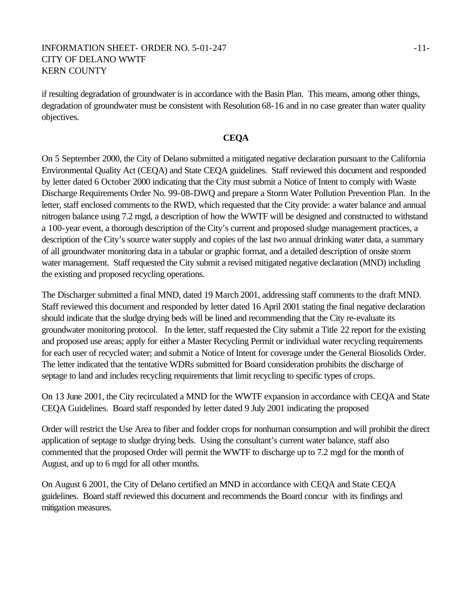if resulting degradation of groundwater is in accordance with the Basin Plan. This means, among other things, degradation of groundwater must be consistent with Resolution 68-16 and in no case greater than water quality objectives.

### **CEQA**

On 5 September 2000, the City of Delano submitted a mitigated negative declaration pursuant to the California Environmental Quality Act (CEQA) and State CEQA guidelines. Staff reviewed this document and responded by letter dated 6 October 2000 indicating that the City must submit a Notice of Intent to comply with Waste Discharge Requirements Order No. 99-08-DWQ and prepare a Storm Water Pollution Prevention Plan. In the letter, staff enclosed comments to the RWD, which requested that the City provide: a water balance and annual nitrogen balance using 7.2 mgd, a description of how the WWTF will be designed and constructed to withstand a 100-year event, a thorough description of the City's current and proposed sludge management practices, a description of the City's source water supply and copies of the last two annual drinking water data, a summary of all groundwater monitoring data in a tabular or graphic format, and a detailed description of onsite storm water management. Staff requested the City submit a revised mitigated negative declaration (MND) including the existing and proposed recycling operations.

The Discharger submitted a final MND, dated 19 March 2001, addressing staff comments to the draft MND. Staff reviewed this document and responded by letter dated 16 April 2001 stating the final negative declaration should indicate that the sludge drying beds will be lined and recommending that the City re-evaluate its groundwater monitoring protocol. In the letter, staff requested the City submit a Title 22 report for the existing and proposed use areas; apply for either a Master Recycling Permit or individual water recycling requirements for each user of recycled water; and submit a Notice of Intent for coverage under the General Biosolids Order. The letter indicated that the tentative WDRs submitted for Board consideration prohibits the discharge of septage to land and includes recycling requirements that limit recycling to specific types of crops.

On 13 June 2001, the City recirculated a MND for the WWTF expansion in accordance with CEQA and State CEQA Guidelines. Board staff responded by letter dated 9 July 2001 indicating the proposed

Order will restrict the Use Area to fiber and fodder crops for nonhuman consumption and will prohibit the direct application of septage to sludge drying beds. Using the consultant's current water balance, staff also commented that the proposed Order will permit the WWTF to discharge up to 7.2 mgd for the month of August, and up to 6 mgd for all other months.

On August 6 2001, the City of Delano certified an MND in accordance with CEQA and State CEQA guidelines. Board staff reviewed this document and recommends the Board concur with its findings and mitigation measures.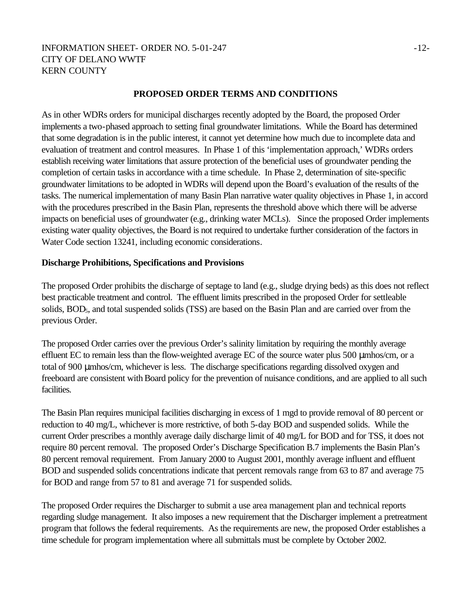### **PROPOSED ORDER TERMS AND CONDITIONS**

As in other WDRs orders for municipal discharges recently adopted by the Board, the proposed Order implements a two-phased approach to setting final groundwater limitations. While the Board has determined that some degradation is in the public interest, it cannot yet determine how much due to incomplete data and evaluation of treatment and control measures. In Phase 1 of this 'implementation approach,' WDRs orders establish receiving water limitations that assure protection of the beneficial uses of groundwater pending the completion of certain tasks in accordance with a time schedule. In Phase 2, determination of site-specific groundwater limitations to be adopted in WDRs will depend upon the Board's evaluation of the results of the tasks. The numerical implementation of many Basin Plan narrative water quality objectives in Phase 1, in accord with the procedures prescribed in the Basin Plan, represents the threshold above which there will be adverse impacts on beneficial uses of groundwater (e.g., drinking water MCLs). Since the proposed Order implements existing water quality objectives, the Board is not required to undertake further consideration of the factors in Water Code section 13241, including economic considerations.

### **Discharge Prohibitions, Specifications and Provisions**

The proposed Order prohibits the discharge of septage to land (e.g., sludge drying beds) as this does not reflect best practicable treatment and control. The effluent limits prescribed in the proposed Order for settleable solids, BOD<sub>5</sub>, and total suspended solids (TSS) are based on the Basin Plan and are carried over from the previous Order.

The proposed Order carries over the previous Order's salinity limitation by requiring the monthly average effluent EC to remain less than the flow-weighted average EC of the source water plus 500 μmhos/cm, or a total of 900 μmhos/cm, whichever is less. The discharge specifications regarding dissolved oxygen and freeboard are consistent with Board policy for the prevention of nuisance conditions, and are applied to all such facilities.

The Basin Plan requires municipal facilities discharging in excess of 1 mgd to provide removal of 80 percent or reduction to 40 mg/L, whichever is more restrictive, of both 5-day BOD and suspended solids. While the current Order prescribes a monthly average daily discharge limit of 40 mg/L for BOD and for TSS, it does not require 80 percent removal. The proposed Order's Discharge Specification B.7 implements the Basin Plan's 80 percent removal requirement. From January 2000 to August 2001, monthly average influent and effluent BOD and suspended solids concentrations indicate that percent removals range from 63 to 87 and average 75 for BOD and range from 57 to 81 and average 71 for suspended solids.

The proposed Order requires the Discharger to submit a use area management plan and technical reports regarding sludge management. It also imposes a new requirement that the Discharger implement a pretreatment program that follows the federal requirements. As the requirements are new, the proposed Order establishes a time schedule for program implementation where all submittals must be complete by October 2002.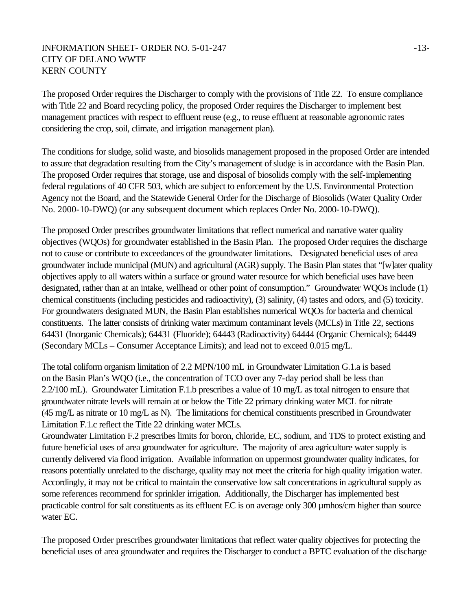The proposed Order requires the Discharger to comply with the provisions of Title 22. To ensure compliance with Title 22 and Board recycling policy, the proposed Order requires the Discharger to implement best management practices with respect to effluent reuse (e.g., to reuse effluent at reasonable agronomic rates considering the crop, soil, climate, and irrigation management plan).

The conditions for sludge, solid waste, and biosolids management proposed in the proposed Order are intended to assure that degradation resulting from the City's management of sludge is in accordance with the Basin Plan. The proposed Order requires that storage, use and disposal of biosolids comply with the self-implementing federal regulations of 40 CFR 503, which are subject to enforcement by the U.S. Environmental Protection Agency not the Board, and the Statewide General Order for the Discharge of Biosolids (Water Quality Order No. 2000-10-DWQ) (or any subsequent document which replaces Order No. 2000-10-DWQ).

The proposed Order prescribes groundwater limitations that reflect numerical and narrative water quality objectives (WQOs) for groundwater established in the Basin Plan. The proposed Order requires the discharge not to cause or contribute to exceedances of the groundwater limitations. Designated beneficial uses of area groundwater include municipal (MUN) and agricultural (AGR) supply. The Basin Plan states that "[w]ater quality objectives apply to all waters within a surface or ground water resource for which beneficial uses have been designated, rather than at an intake, wellhead or other point of consumption." Groundwater WQOs include (1) chemical constituents (including pesticides and radioactivity), (3) salinity, (4) tastes and odors, and (5) toxicity. For groundwaters designated MUN, the Basin Plan establishes numerical WQOs for bacteria and chemical constituents. The latter consists of drinking water maximum contaminant levels (MCLs) in Title 22, sections 64431 (Inorganic Chemicals); 64431 (Fluoride); 64443 (Radioactivity) 64444 (Organic Chemicals); 64449 (Secondary MCLs – Consumer Acceptance Limits); and lead not to exceed 0.015 mg/L.

The total coliform organism limitation of 2.2 MPN/100 mL in Groundwater Limitation G.1.a is based on the Basin Plan's WQO (i.e., the concentration of TCO over any 7-day period shall be less than 2.2/100 mL). Groundwater Limitation F.1.b prescribes a value of 10 mg/L as total nitrogen to ensure that groundwater nitrate levels will remain at or below the Title 22 primary drinking water MCL for nitrate (45 mg/L as nitrate or 10 mg/L as N). The limitations for chemical constituents prescribed in Groundwater Limitation F.1.c reflect the Title 22 drinking water MCLs.

Groundwater Limitation F.2 prescribes limits for boron, chloride, EC, sodium, and TDS to protect existing and future beneficial uses of area groundwater for agriculture. The majority of area agriculture water supply is currently delivered via flood irrigation. Available information on uppermost groundwater quality indicates, for reasons potentially unrelated to the discharge, quality may not meet the criteria for high quality irrigation water. Accordingly, it may not be critical to maintain the conservative low salt concentrations in agricultural supply as some references recommend for sprinkler irrigation. Additionally, the Discharger has implemented best practicable control for salt constituents as its effluent EC is on average only 300 µmhos/cm higher than source water EC.

The proposed Order prescribes groundwater limitations that reflect water quality objectives for protecting the beneficial uses of area groundwater and requires the Discharger to conduct a BPTC evaluation of the discharge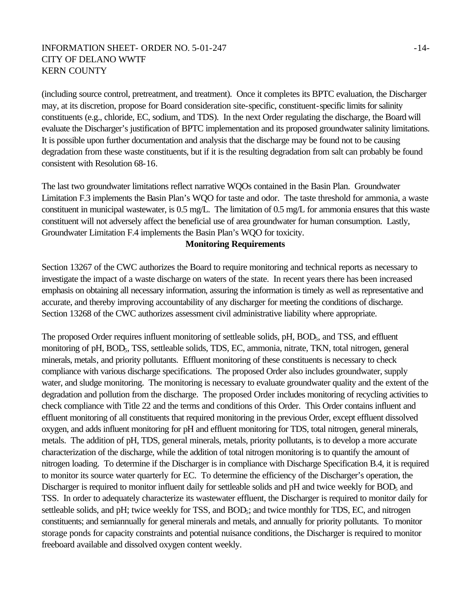(including source control, pretreatment, and treatment). Once it completes its BPTC evaluation, the Discharger may, at its discretion, propose for Board consideration site-specific, constituent-specific limits for salinity constituents (e.g., chloride, EC, sodium, and TDS). In the next Order regulating the discharge, the Board will evaluate the Discharger's justification of BPTC implementation and its proposed groundwater salinity limitations. It is possible upon further documentation and analysis that the discharge may be found not to be causing degradation from these waste constituents, but if it is the resulting degradation from salt can probably be found consistent with Resolution 68-16.

The last two groundwater limitations reflect narrative WQOs contained in the Basin Plan. Groundwater Limitation F.3 implements the Basin Plan's WQO for taste and odor. The taste threshold for ammonia, a waste constituent in municipal wastewater, is 0.5 mg/L. The limitation of 0.5 mg/L for ammonia ensures that this waste constituent will not adversely affect the beneficial use of area groundwater for human consumption. Lastly, Groundwater Limitation F.4 implements the Basin Plan's WQO for toxicity.

#### **Monitoring Requirements**

Section 13267 of the CWC authorizes the Board to require monitoring and technical reports as necessary to investigate the impact of a waste discharge on waters of the state. In recent years there has been increased emphasis on obtaining all necessary information, assuring the information is timely as well as representative and accurate, and thereby improving accountability of any discharger for meeting the conditions of discharge. Section 13268 of the CWC authorizes assessment civil administrative liability where appropriate.

The proposed Order requires influent monitoring of settleable solids, pH, BOD<sub>5</sub>, and TSS, and effluent monitoring of pH, BOD<sub>5</sub>, TSS, settleable solids, TDS, EC, ammonia, nitrate, TKN, total nitrogen, general minerals, metals, and priority pollutants. Effluent monitoring of these constituents is necessary to check compliance with various discharge specifications. The proposed Order also includes groundwater, supply water, and sludge monitoring. The monitoring is necessary to evaluate groundwater quality and the extent of the degradation and pollution from the discharge. The proposed Order includes monitoring of recycling activities to check compliance with Title 22 and the terms and conditions of this Order. This Order contains influent and effluent monitoring of all constituents that required monitoring in the previous Order, except effluent dissolved oxygen, and adds influent monitoring for pH and effluent monitoring for TDS, total nitrogen, general minerals, metals. The addition of pH, TDS, general minerals, metals, priority pollutants, is to develop a more accurate characterization of the discharge, while the addition of total nitrogen monitoring is to quantify the amount of nitrogen loading. To determine if the Discharger is in compliance with Discharge Specification B.4, it is required to monitor its source water quarterly for EC. To determine the efficiency of the Discharger's operation, the Discharger is required to monitor influent daily for settleable solids and pH and twice weekly for BOD<sub>5</sub> and TSS. In order to adequately characterize its wastewater effluent, the Discharger is required to monitor daily for settleable solids, and pH; twice weekly for TSS, and BOD<sub>5</sub>; and twice monthly for TDS, EC, and nitrogen constituents; and semiannually for general minerals and metals, and annually for priority pollutants. To monitor storage ponds for capacity constraints and potential nuisance conditions, the Discharger is required to monitor freeboard available and dissolved oxygen content weekly.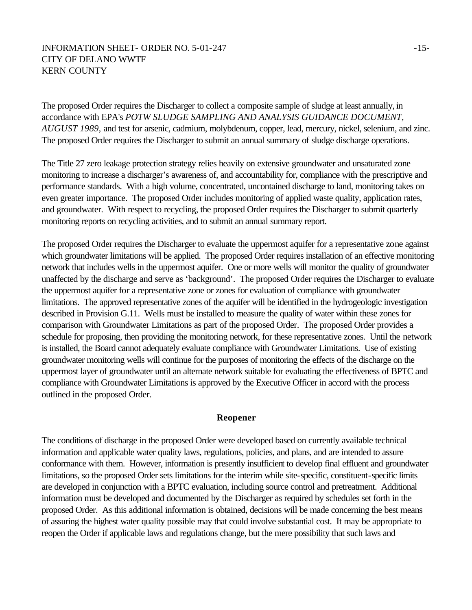The proposed Order requires the Discharger to collect a composite sample of sludge at least annually, in accordance with EPA's *POTW SLUDGE SAMPLING AND ANALYSIS GUIDANCE DOCUMENT, AUGUST 1989,* and test for arsenic, cadmium, molybdenum, copper, lead, mercury, nickel, selenium, and zinc. The proposed Order requires the Discharger to submit an annual summary of sludge discharge operations.

The Title 27 zero leakage protection strategy relies heavily on extensive groundwater and unsaturated zone monitoring to increase a discharger's awareness of, and accountability for, compliance with the prescriptive and performance standards. With a high volume, concentrated, uncontained discharge to land, monitoring takes on even greater importance. The proposed Order includes monitoring of applied waste quality, application rates, and groundwater. With respect to recycling, the proposed Order requires the Discharger to submit quarterly monitoring reports on recycling activities, and to submit an annual summary report.

The proposed Order requires the Discharger to evaluate the uppermost aquifer for a representative zone against which groundwater limitations will be applied. The proposed Order requires installation of an effective monitoring network that includes wells in the uppermost aquifer. One or more wells will monitor the quality of groundwater unaffected by the discharge and serve as 'background'. The proposed Order requires the Discharger to evaluate the uppermost aquifer for a representative zone or zones for evaluation of compliance with groundwater limitations. The approved representative zones of the aquifer will be identified in the hydrogeologic investigation described in Provision G.11. Wells must be installed to measure the quality of water within these zones for comparison with Groundwater Limitations as part of the proposed Order. The proposed Order provides a schedule for proposing, then providing the monitoring network, for these representative zones. Until the network is installed, the Board cannot adequately evaluate compliance with Groundwater Limitations. Use of existing groundwater monitoring wells will continue for the purposes of monitoring the effects of the discharge on the uppermost layer of groundwater until an alternate network suitable for evaluating the effectiveness of BPTC and compliance with Groundwater Limitations is approved by the Executive Officer in accord with the process outlined in the proposed Order.

### **Reopener**

The conditions of discharge in the proposed Order were developed based on currently available technical information and applicable water quality laws, regulations, policies, and plans, and are intended to assure conformance with them. However, information is presently insufficient to develop final effluent and groundwater limitations, so the proposed Order sets limitations for the interim while site-specific, constituent-specific limits are developed in conjunction with a BPTC evaluation, including source control and pretreatment. Additional information must be developed and documented by the Discharger as required by schedules set forth in the proposed Order. As this additional information is obtained, decisions will be made concerning the best means of assuring the highest water quality possible may that could involve substantial cost. It may be appropriate to reopen the Order if applicable laws and regulations change, but the mere possibility that such laws and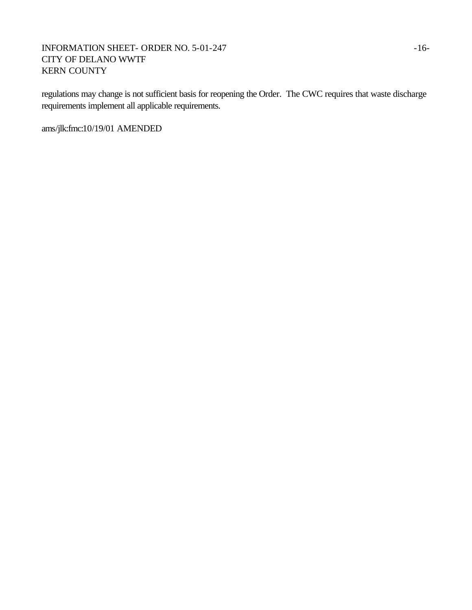regulations may change is not sufficient basis for reopening the Order. The CWC requires that waste discharge requirements implement all applicable requirements.

ams/jlk:fmc:10/19/01 AMENDED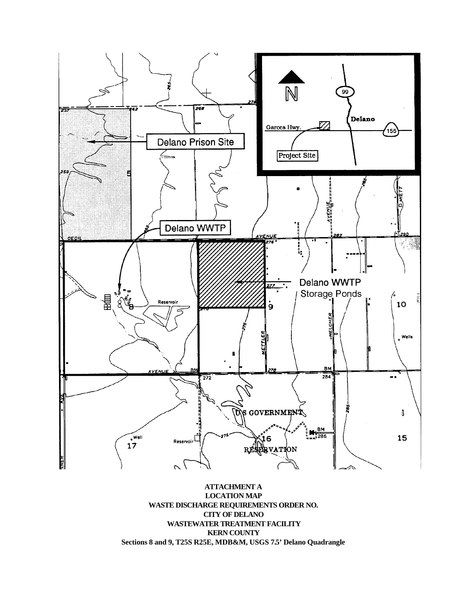

**WASTE DISCHARGE REQUIREMENTS ORDER NO. CITY OF DELANO WASTEWATER TREATMENT FACILITY KERN COUNTY Sections 8 and 9, T25S R25E, MDB&M, USGS 7.5' Delano Quadrangle**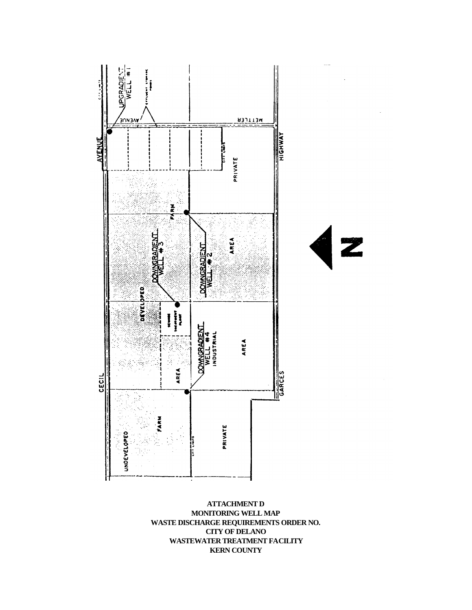

 $\overline{\mathbf{z}}$ 

**ATTACHMENT D MONITORING WELL MAP WASTE DISCHARGE REQUIREMENTS ORDER NO. CITY OF DELANO WASTEWATER TREATMENT FACILITY KERN COUNTY**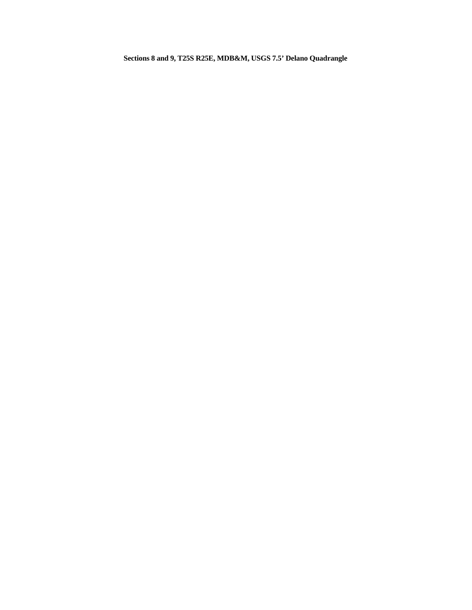**Sections 8 and 9, T25S R25E, MDB&M, USGS 7.5' Delano Quadrangle**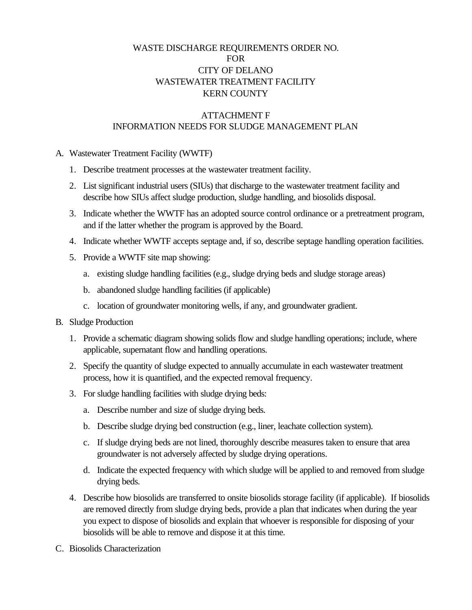# WASTE DISCHARGE REQUIREMENTS ORDER NO. FOR CITY OF DELANO WASTEWATER TREATMENT FACILITY KERN COUNTY

# ATTACHMENT F INFORMATION NEEDS FOR SLUDGE MANAGEMENT PLAN

### A. Wastewater Treatment Facility (WWTF)

- 1. Describe treatment processes at the wastewater treatment facility.
- 2. List significant industrial users (SIUs) that discharge to the wastewater treatment facility and describe how SIUs affect sludge production, sludge handling, and biosolids disposal.
- 3. Indicate whether the WWTF has an adopted source control ordinance or a pretreatment program, and if the latter whether the program is approved by the Board.
- 4. Indicate whether WWTF accepts septage and, if so, describe septage handling operation facilities.
- 5. Provide a WWTF site map showing:
	- a. existing sludge handling facilities (e.g., sludge drying beds and sludge storage areas)
	- b. abandoned sludge handling facilities (if applicable)
	- c. location of groundwater monitoring wells, if any, and groundwater gradient.
- B. Sludge Production
	- 1. Provide a schematic diagram showing solids flow and sludge handling operations; include, where applicable, supernatant flow and handling operations.
	- 2. Specify the quantity of sludge expected to annually accumulate in each wastewater treatment process, how it is quantified, and the expected removal frequency.
	- 3. For sludge handling facilities with sludge drying beds:
		- a. Describe number and size of sludge drying beds.
		- b. Describe sludge drying bed construction (e.g., liner, leachate collection system).
		- c. If sludge drying beds are not lined, thoroughly describe measures taken to ensure that area groundwater is not adversely affected by sludge drying operations.
		- d. Indicate the expected frequency with which sludge will be applied to and removed from sludge drying beds.
	- 4. Describe how biosolids are transferred to onsite biosolids storage facility (if applicable). If biosolids are removed directly from sludge drying beds, provide a plan that indicates when during the year you expect to dispose of biosolids and explain that whoever is responsible for disposing of your biosolids will be able to remove and dispose it at this time.
- C. Biosolids Characterization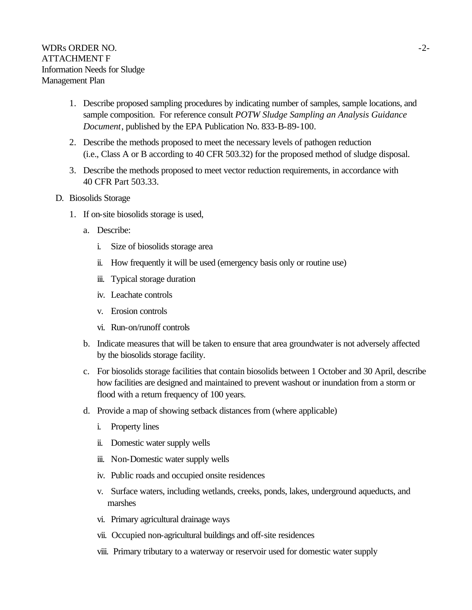- 1. Describe proposed sampling procedures by indicating number of samples, sample locations, and sample composition. For reference consult *POTW Sludge Sampling an Analysis Guidance Document*, published by the EPA Publication No. 833-B-89-100.
- 2. Describe the methods proposed to meet the necessary levels of pathogen reduction (i.e., Class A or B according to 40 CFR 503.32) for the proposed method of sludge disposal.
- 3. Describe the methods proposed to meet vector reduction requirements, in accordance with 40 CFR Part 503.33.
- D. Biosolids Storage
	- 1. If on-site biosolids storage is used,
		- a. Describe:
			- i. Size of biosolids storage area
			- ii. How frequently it will be used (emergency basis only or routine use)
			- iii. Typical storage duration
			- iv. Leachate controls
			- v. Erosion controls
			- vi. Run-on/runoff controls
		- b. Indicate measures that will be taken to ensure that area groundwater is not adversely affected by the biosolids storage facility.
		- c. For biosolids storage facilities that contain biosolids between 1 October and 30 April, describe how facilities are designed and maintained to prevent washout or inundation from a storm or flood with a return frequency of 100 years.
		- d. Provide a map of showing setback distances from (where applicable)
			- i. Property lines
			- ii. Domestic water supply wells
			- iii. Non-Domestic water supply wells
			- iv. Public roads and occupied onsite residences
			- v. Surface waters, including wetlands, creeks, ponds, lakes, underground aqueducts, and marshes
			- vi. Primary agricultural drainage ways
			- vii. Occupied non-agricultural buildings and off-site residences
			- viii. Primary tributary to a waterway or reservoir used for domestic water supply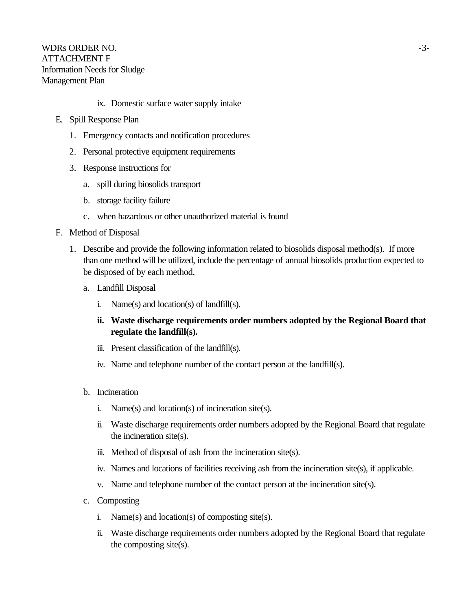- ix. Domestic surface water supply intake
- E. Spill Response Plan
	- 1. Emergency contacts and notification procedures
	- 2. Personal protective equipment requirements
	- 3. Response instructions for
		- a. spill during biosolids transport
		- b. storage facility failure
		- c. when hazardous or other unauthorized material is found
- F. Method of Disposal
	- 1. Describe and provide the following information related to biosolids disposal method(s). If more than one method will be utilized, include the percentage of annual biosolids production expected to be disposed of by each method.
		- a. Landfill Disposal
			- i. Name(s) and location(s) of landfill(s).
			- **ii. Waste discharge requirements order numbers adopted by the Regional Board that regulate the landfill(s).**
			- iii. Present classification of the landfill(s).
			- iv. Name and telephone number of the contact person at the landfill(s).
		- b. Incineration
			- i. Name(s) and location(s) of incineration site(s).
			- ii. Waste discharge requirements order numbers adopted by the Regional Board that regulate the incineration site(s).
			- iii. Method of disposal of ash from the incineration site(s).
			- iv. Names and locations of facilities receiving ash from the incineration site(s), if applicable.
			- v. Name and telephone number of the contact person at the incineration site(s).
		- c. Composting
			- i. Name(s) and location(s) of composting site(s).
			- ii. Waste discharge requirements order numbers adopted by the Regional Board that regulate the composting site(s).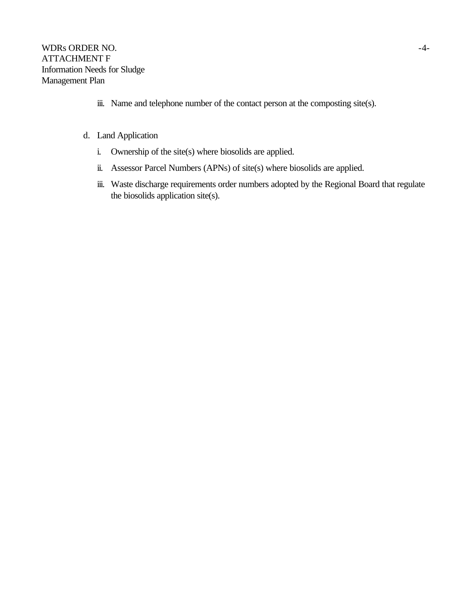- iii. Name and telephone number of the contact person at the composting site(s).
- d. Land Application
	- i. Ownership of the site(s) where biosolids are applied.
	- ii. Assessor Parcel Numbers (APNs) of site(s) where biosolids are applied.
	- iii. Waste discharge requirements order numbers adopted by the Regional Board that regulate the biosolids application site(s).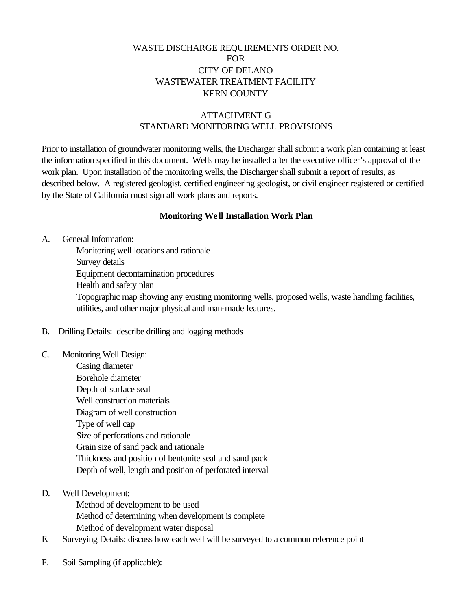# WASTE DISCHARGE REQUIREMENTS ORDER NO. FOR CITY OF DELANO WASTEWATER TREATMENT FACILITY KERN COUNTY

# ATTACHMENT G STANDARD MONITORING WELL PROVISIONS

Prior to installation of groundwater monitoring wells, the Discharger shall submit a work plan containing at least the information specified in this document. Wells may be installed after the executive officer's approval of the work plan. Upon installation of the monitoring wells, the Discharger shall submit a report of results, as described below. A registered geologist, certified engineering geologist, or civil engineer registered or certified by the State of California must sign all work plans and reports.

### **Monitoring Well Installation Work Plan**

A. General Information:

Monitoring well locations and rationale

Survey details

Equipment decontamination procedures

Health and safety plan

Topographic map showing any existing monitoring wells, proposed wells, waste handling facilities, utilities, and other major physical and man-made features.

- B. Drilling Details: describe drilling and logging methods
- C. Monitoring Well Design:
	- Casing diameter Borehole diameter Depth of surface seal Well construction materials Diagram of well construction Type of well cap Size of perforations and rationale Grain size of sand pack and rationale Thickness and position of bentonite seal and sand pack Depth of well, length and position of perforated interval
- D. Well Development:

Method of development to be used Method of determining when development is complete Method of development water disposal

- E. Surveying Details: discuss how each well will be surveyed to a common reference point
- F. Soil Sampling (if applicable):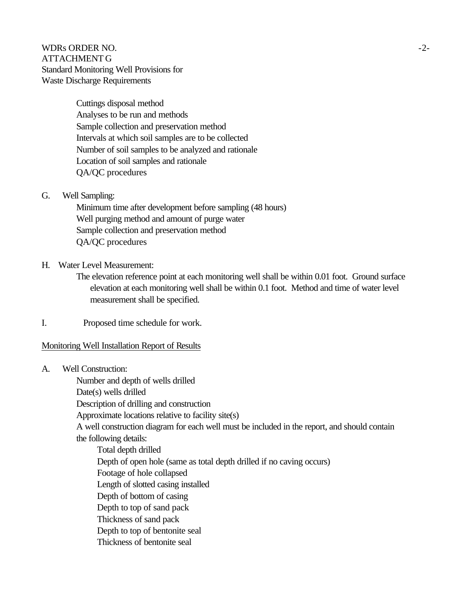WDRs ORDER NO.  $\sim$ ATTACHMENT G Standard Monitoring Well Provisions for Waste Discharge Requirements

Cuttings disposal method Analyses to be run and methods Sample collection and preservation method Intervals at which soil samples are to be collected Number of soil samples to be analyzed and rationale Location of soil samples and rationale QA/QC procedures

### G. Well Sampling:

Minimum time after development before sampling (48 hours) Well purging method and amount of purge water Sample collection and preservation method QA/QC procedures

### H. Water Level Measurement:

The elevation reference point at each monitoring well shall be within 0.01 foot. Ground surface elevation at each monitoring well shall be within 0.1 foot. Method and time of water level measurement shall be specified.

I. Proposed time schedule for work.

### Monitoring Well Installation Report of Results

### A. Well Construction:

Number and depth of wells drilled Date(s) wells drilled Description of drilling and construction Approximate locations relative to facility site(s) A well construction diagram for each well must be included in the report, and should contain the following details:

Total depth drilled Depth of open hole (same as total depth drilled if no caving occurs) Footage of hole collapsed Length of slotted casing installed Depth of bottom of casing Depth to top of sand pack Thickness of sand pack Depth to top of bentonite seal Thickness of bentonite seal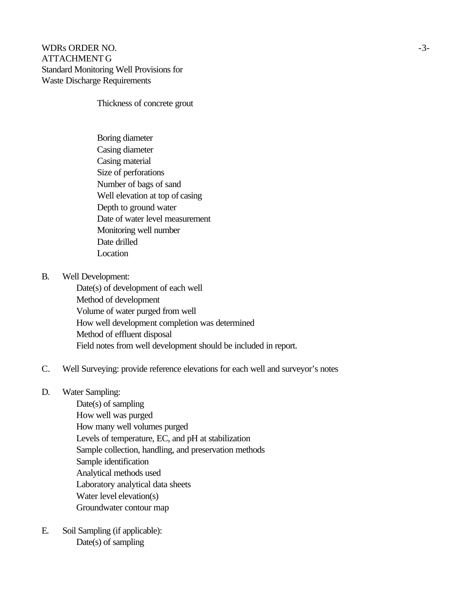WDRs ORDER NO.  $\sim$ ATTACHMENT G Standard Monitoring Well Provisions for Waste Discharge Requirements

Thickness of concrete grout

- Boring diameter Casing diameter Casing material Size of perforations Number of bags of sand Well elevation at top of casing Depth to ground water Date of water level measurement Monitoring well number Date drilled Location
- B. Well Development:

Date(s) of development of each well Method of development Volume of water purged from well How well development completion was determined Method of effluent disposal Field notes from well development should be included in report.

- C. Well Surveying: provide reference elevations for each well and surveyor's notes
- D. Water Sampling:

Date(s) of sampling How well was purged How many well volumes purged Levels of temperature, EC, and pH at stabilization Sample collection, handling, and preservation methods Sample identification Analytical methods used Laboratory analytical data sheets Water level elevation(s) Groundwater contour map

E. Soil Sampling (if applicable): Date(s) of sampling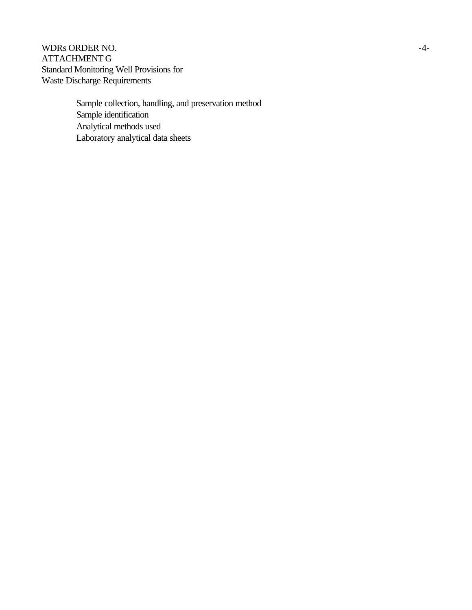WDRs ORDER NO. ATTACHMENT G Standard Monitoring Well Provisions for Waste Discharge Requirements

> Sample collection, handling, and preservation method Sample identification Analytical methods used Laboratory analytical data sheets